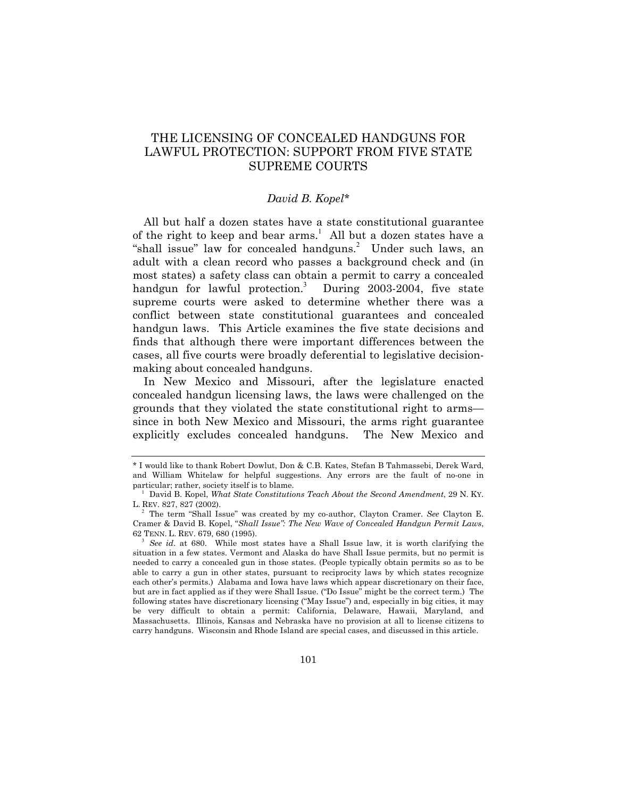# THE LICENSING OF CONCEALED HANDGUNS FOR LAWFUL PROTECTION: SUPPORT FROM FIVE STATE SUPREME COURTS

## *David B. Kopel[\\*](#page-0-0)*

All but half a dozen states have a state constitutional guarantee ofthe right to keep and bear arms.<sup>1</sup> All but a dozen states have a "shall issue" law for concealed handguns.<sup>[2](#page-0-2)</sup> Under such laws, an adult with a clean record who passes a background check and (in most states) a safety class can obtain a permit to carry a concealed handgun for lawful protection.<sup>[3](#page-0-3)</sup> During 2003-2004, five state supreme courts were asked to determine whether there was a conflict between state constitutional guarantees and concealed handgun laws. This Article examines the five state decisions and finds that although there were important differences between the cases, all five courts were broadly deferential to legislative decisionmaking about concealed handguns.

In New Mexico and Missouri, after the legislature enacted concealed handgun licensing laws, the laws were challenged on the grounds that they violated the state constitutional right to arms since in both New Mexico and Missouri, the arms right guarantee explicitly excludes concealed handguns. The New Mexico and

<span id="page-0-0"></span><sup>\*</sup> I would like to thank Robert Dowlut, Don & C.B. Kates, Stefan B Tahmassebi, Derek Ward, and William Whitelaw for helpful suggestions. Any errors are the fault of no-one in particular; rather, society itself is to blame.

<span id="page-0-1"></span><sup>1</sup> David B. Kopel, *What State Constitutions Teach About the Second Amendment*, 29 N. KY. L. REV. 827, 827 (2002).

<span id="page-0-2"></span><sup>&</sup>lt;sup>2</sup> The term "Shall Issue" was created by my co-author, Clayton Cramer. *See* Clayton E. Cramer & David B. Kopel, "Shall Issue": The [New Wave of Concealed Handgun Permit Laws](http://www.davekopel.com/2A/LawRev/ShallIssue.htm), 62 TENN. L. REV. 679, 680 (1995).

<span id="page-0-3"></span><sup>3</sup> *See id*. at 680. While most states have a Shall Issue law, it is worth clarifying the situation in a few states. Vermont and Alaska do have Shall Issue permits, but no permit is needed to carry a concealed gun in those states. (People typically obtain permits so as to be able to carry a gun in other states, pursuant to reciprocity laws by which states recognize each other's permits.) Alabama and Iowa have laws which appear discretionary on their face, but are in fact applied as if they were Shall Issue. ("Do Issue" might be the correct term.) The following states have discretionary licensing ("May Issue") and, especially in big cities, it may be very difficult to obtain a permit: California, Delaware, Hawaii, Maryland, and Massachusetts. Illinois, Kansas and Nebraska have no provision at all to license citizens to carry handguns. Wisconsin and Rhode Island are special cases, and discussed in this article.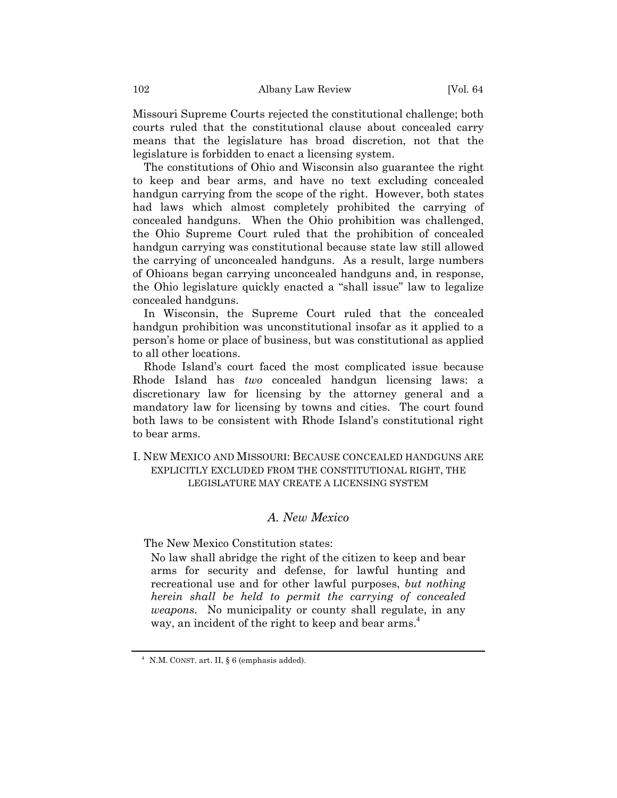Missouri Supreme Courts rejected the constitutional challenge; both courts ruled that the constitutional clause about concealed carry means that the legislature has broad discretion, not that the legislature is forbidden to enact a licensing system.

The constitutions of Ohio and Wisconsin also guarantee the right to keep and bear arms, and have no text excluding concealed handgun carrying from the scope of the right. However, both states had laws which almost completely prohibited the carrying of concealed handguns. When the Ohio prohibition was challenged, the Ohio Supreme Court ruled that the prohibition of concealed handgun carrying was constitutional because state law still allowed the carrying of unconcealed handguns. As a result, large numbers of Ohioans began carrying unconcealed handguns and, in response, the Ohio legislature quickly enacted a "shall issue" law to legalize concealed handguns.

In Wisconsin, the Supreme Court ruled that the concealed handgun prohibition was unconstitutional insofar as it applied to a personís home or place of business, but was constitutional as applied to all other locations.

Rhode Island's court faced the most complicated issue because Rhode Island has *two* concealed handgun licensing laws: a discretionary law for licensing by the attorney general and a mandatory law for licensing by towns and cities. The court found both laws to be consistent with Rhode Island's constitutional right to bear arms.

## I. NEW MEXICO AND MISSOURI: BECAUSE CONCEALED HANDGUNS ARE EXPLICITLY EXCLUDED FROM THE CONSTITUTIONAL RIGHT, THE LEGISLATURE MAY CREATE A LICENSING SYSTEM

# *A. New Mexico*

The New Mexico Constitution states:

No law shall abridge the right of the citizen to keep and bear arms for security and defense, for lawful hunting and recreational use and for other lawful purposes, *but nothing herein shall be held to permit the carrying of concealed weapons*. No municipality or county shall regulate, in any way, an incident of the right to keep and bear arms.<sup>4</sup>

<span id="page-1-0"></span><sup>&</sup>lt;sup>4</sup> N.M. CONST. art. II,  $\S 6$  (emphasis added).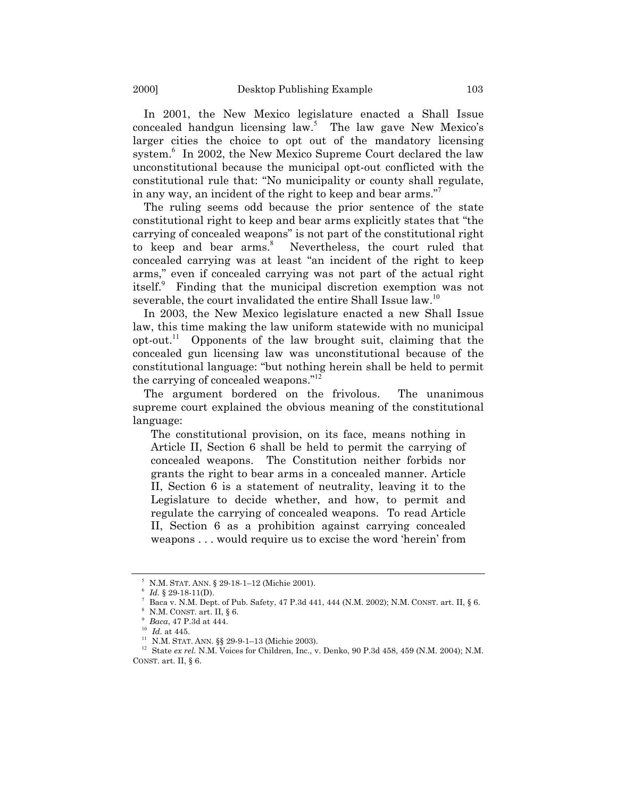In 2001, the New Mexico legislature enacted a Shall Issue concealed handgun licensing  $law^5$  $law^5$ . The law gave New Mexico's larger cities the choice to opt out of the mandatory licensing system.<sup>6</sup>In 2002, the New Mexico Supreme Court declared the law unconstitutional because the municipal opt-out conflicted with the constitutional rule that: "No municipality or county shall regulate, in any way, an incident of the right to keep and bear arms. $\frac{1}{2}$ 

The ruling seems odd because the prior sentence of the state constitutional right to keep and bear arms explicitly states that "the carrying of concealed weapons" is not part of the constitutional right tokeep and bear arms.<sup>8</sup> Nevertheless, the court ruled that concealed carrying was at least "an incident of the right to keep arms," even if concealed carrying was not part of the actual right itself.<sup>[9](#page-2-4)</sup> Finding that the municipal discretion exemption was not severable, the court invalidated the entire Shall Issue law.<sup>[10](#page-2-5)</sup>

In 2003, the New Mexico legislature enacted a new Shall Issue law, this time making the law uniform statewide with no municipal opt-out.[11](#page-2-6) Opponents of the law brought suit, claiming that the concealed gun licensing law was unconstitutional because of the constitutional language: "but nothing herein shall be held to permit the carrying of concealed weapons. $i^{12}$  $i^{12}$  $i^{12}$ 

The argument bordered on the frivolous. The unanimous supreme court explained the obvious meaning of the constitutional language:

The constitutional provision, on its face, means nothing in Article II, Section 6 shall be held to permit the carrying of concealed weapons. The Constitution neither forbids nor grants the right to bear arms in a concealed manner. Article II, Section 6 is a statement of neutrality, leaving it to the Legislature to decide whether, and how, to permit and regulate the carrying of concealed weapons. To read Article II, Section 6 as a prohibition against carrying concealed weapons . . . would require us to excise the word 'herein' from

<span id="page-2-0"></span>N.M. STAT. ANN. § 29-18-1-12 (Michie 2001).

<span id="page-2-1"></span>*Id.* § 29-18-11(D).

<span id="page-2-2"></span>Baca v. N.M. Dept. of Pub. Safety, 47 P.3d 441, 444 (N.M. 2002); N.M. CONST. art. II, § 6.

<span id="page-2-3"></span>N.M. CONST. art. II, § 6.

<span id="page-2-4"></span><sup>9</sup> *Baca*, 47 P.3d at 444.

<span id="page-2-5"></span><sup>10</sup> *Id.* at 445.

<span id="page-2-6"></span> $11$  N.M. STAT. ANN. §§ 29-9-1-13 (Michie 2003).

<span id="page-2-7"></span><sup>&</sup>lt;sup>12</sup> State *ex rel.* N.M. Voices for Children, Inc., v. Denko, 90 P.3d 458, 459 (N.M. 2004); N.M. CONST. art. II, § 6.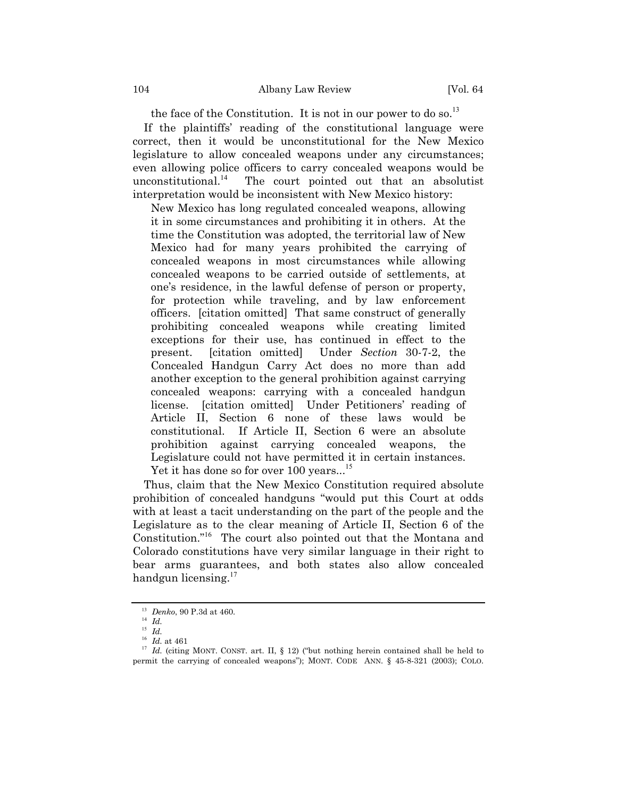the face of the Constitution. It is not in our power to do so.<sup>[13](#page-3-0)</sup>

If the plaintiffsí reading of the constitutional language were correct, then it would be unconstitutional for the New Mexico legislature to allow concealed weapons under any circumstances; even allowing police officers to carry concealed weapons would be unconstitutional.<sup>[14](#page-3-1)</sup> The court pointed out that an absolutist interpretation would be inconsistent with New Mexico history:

New Mexico has long regulated concealed weapons, allowing it in some circumstances and prohibiting it in others. At the time the Constitution was adopted, the territorial law of New Mexico had for many years prohibited the carrying of concealed weapons in most circumstances while allowing concealed weapons to be carried outside of settlements, at oneís residence, in the lawful defense of person or property, for protection while traveling, and by law enforcement officers. [citation omitted] That same construct of generally prohibiting concealed weapons while creating limited exceptions for their use, has continued in effect to the present. [citation omitted] Under *Section* 30-7-2, the Concealed Handgun Carry Act does no more than add another exception to the general prohibition against carrying concealed weapons: carrying with a concealed handgun license. [citation omitted] Under Petitionersí reading of [Article II, Section 6](http://www.westlaw.com/Find/Default.wl?rs=++++1.0&vr=2.0&DB=1000036&DocName=NMCNART2S6&FindType=L) none of these laws would be constitutional. If [Article II, Section 6](http://www.westlaw.com/Find/Default.wl?rs=++++1.0&vr=2.0&DB=1000036&DocName=NMCNART2S6&FindType=L) were an absolute prohibition against carrying concealed weapons, the Legislature could not have permitted it in certain instances.

Yet it has done so for over 100 years...<sup>[15](#page-3-2)</sup>

Thus, claim that the New Mexico Constitution required absolute prohibition of concealed handguns "would put this Court at odds with at least a tacit understanding on the part of the people and the Legislature as to the clear meaning of Article II, Section 6 of the Constitution."<sup>[16](#page-3-3)</sup> The court also pointed out that the Montana and Colorado constitutions have very similar language in their right to bear arms guarantees, and both states also allow concealed handgun licensing. $17$ 

<span id="page-3-0"></span><sup>13</sup> *Denko*, 90 P.3d at 460.

<span id="page-3-1"></span> $14 \overline{Id}$ .

<span id="page-3-2"></span><sup>15</sup> *Id.*

<span id="page-3-3"></span><sup>16</sup> *Id.* at 461

<span id="page-3-4"></span> $17$  *Id.* (citing MONT. CONST. art. II, § 12) ("but nothing herein contained shall be held to permit the carrying of concealed weapons"); MONT. CODE ANN. § 45-8-321 (2003); COLO.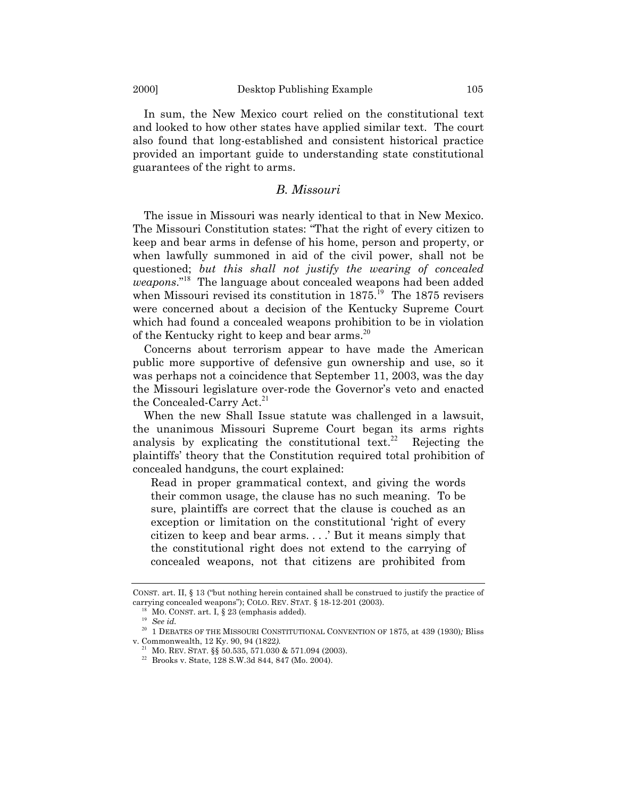In sum, the New Mexico court relied on the constitutional text and looked to how other states have applied similar text. The court also found that long-established and consistent historical practice provided an important guide to understanding state constitutional guarantees of the right to arms.

## *B. Missouri*

The issue in Missouri was nearly identical to that in New Mexico. The Missouri Constitution states: "That the right of every citizen to keep and bear arms in defense of his home, person and property, or when lawfully summoned in aid of the civil power, shall not be questioned; *but this shall not justify the wearing of concealed weapons.*<sup>[18](#page-4-0)</sup> The language about concealed weapons had been added when Missouri revised its constitution in  $1875$ .<sup>[19](#page-4-1)</sup> The 1875 revisers were concerned about a decision of the Kentucky Supreme Court which had found a concealed weapons prohibition to be in violation of the Kentucky right to keep and bear arms.<sup>[20](#page-4-2)</sup>

Concerns about terrorism appear to have made the American public more supportive of defensive gun ownership and use, so it was perhaps not a coincidence that September 11, 2003, was the day the Missouri legislature over-rode the Governor's veto and enacted the Concealed-Carry Act.<sup>[21](#page-4-3)</sup>

When the new Shall Issue statute was challenged in a lawsuit, the unanimous Missouri Supreme Court began its arms rights analysis by explicating the constitutional text.<sup>[22](#page-4-4)</sup> Rejecting the plaintiffsí theory that the Constitution required total prohibition of concealed handguns, the court explained:

Read in proper grammatical context, and giving the words their common usage, the clause has no such meaning. To be sure, plaintiffs are correct that the clause is couched as an exception or limitation on the constitutional 'right of every citizen to keep and bear arms. . . . But it means simply that the constitutional right does not extend to the carrying of concealed weapons, not that citizens are prohibited from

CONST. art. II, § 13 ("but nothing herein contained shall be construed to justify the practice of carrying concealed weapons"); COLO. REV. STAT. § 18-12-201 (2003).

<span id="page-4-0"></span>MO. CONST. art. I,  $\S 23$  (emphasis added).

<span id="page-4-1"></span><sup>19</sup> *See id.*

<span id="page-4-2"></span><sup>20</sup> 1 DEBATES OF THE MISSOURI CONSTITUTIONAL CONVENTION OF 1875, at 439 (1930)*;* Bliss v. Commonwealth, 12 Ky. 90, 94 (1822*).*

<span id="page-4-3"></span><sup>&</sup>lt;sup>21</sup> MO. REV. STAT. §§ 50.535, 571.030 & 571.094 (2003).

<span id="page-4-4"></span><sup>22</sup> Brooks v. State, 128 S.W.3d 844, 847 (Mo. 2004).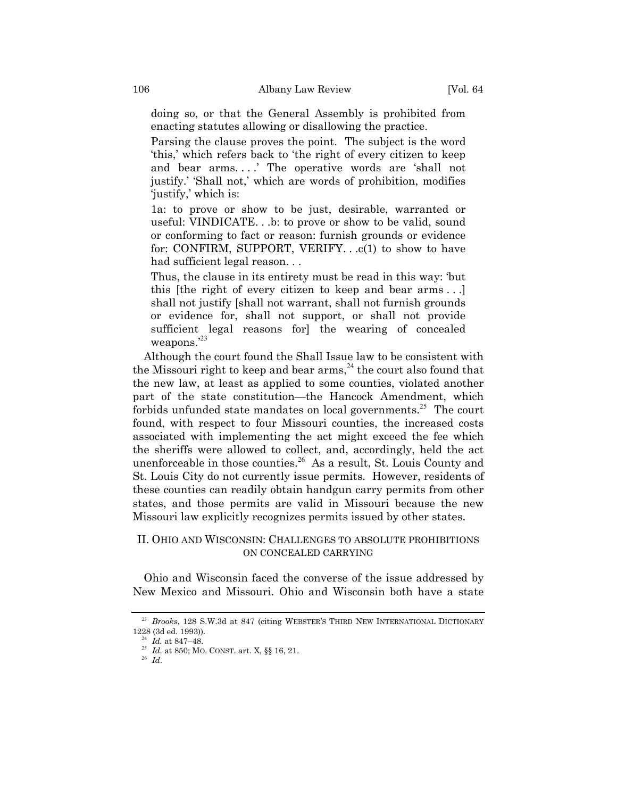doing so, or that the General Assembly is prohibited from enacting statutes allowing or disallowing the practice.

Parsing the clause proves the point. The subject is the word this,' which refers back to 'the right of every citizen to keep and bear arms....' The operative words are 'shall not justify.' 'Shall not,' which are words of prohibition, modifies justify,' which is:

1a: to prove or show to be just, desirable, warranted or useful: VINDICATE. . .b: to prove or show to be valid, sound or conforming to fact or reason: furnish grounds or evidence for: CONFIRM, SUPPORT, VERIFY. . .c(1) to show to have had sufficient legal reason. . .

Thus, the clause in its entirety must be read in this way: 'but this [the right of every citizen to keep and bear arms . . .] shall not justify [shall not warrant, shall not furnish grounds or evidence for, shall not support, or shall not provide sufficient legal reasons for] the wearing of concealed weapons. $^{23}$  $^{23}$  $^{23}$ 

Although the court found the Shall Issue law to be consistent with the Missouri right to keep and bear  $\pi$  arms,<sup>[24](#page-5-1)</sup> the court also found that the new law, at least as applied to some counties, violated another part of the state constitution—the Hancock Amendment, which forbids unfunded state mandates on local governments.<sup>[25](#page-5-2)</sup> The court found, with respect to four Missouri counties, the increased costs associated with implementing the act might exceed the fee which the sheriffs were allowed to collect, and, accordingly, held the act unenforceable in those counties.<sup>[26](#page-5-3)</sup> As a result, St. Louis County and St. Louis City do not currently issue permits. However, residents of these counties can readily obtain handgun carry permits from other states, and those permits are valid in Missouri because the new Missouri law explicitly recognizes permits issued by other states.

## II. OHIO AND WISCONSIN: CHALLENGES TO ABSOLUTE PROHIBITIONS ON CONCEALED CARRYING

Ohio and Wisconsin faced the converse of the issue addressed by New Mexico and Missouri. Ohio and Wisconsin both have a state

<span id="page-5-0"></span><sup>&</sup>lt;sup>23</sup> *Brooks*, 128 S.W.3d at 847 (citing WEBSTER'S THIRD NEW INTERNATIONAL DICTIONARY 1228 (3d ed. 1993)).

<span id="page-5-1"></span> $\vec{a}$ <sup>24</sup> *Id.* at 847–48.

<span id="page-5-2"></span><sup>25</sup> *Id.* at 850; MO. CONST. art. X, ßß 16, 21.

<span id="page-5-3"></span><sup>26</sup> *Id*.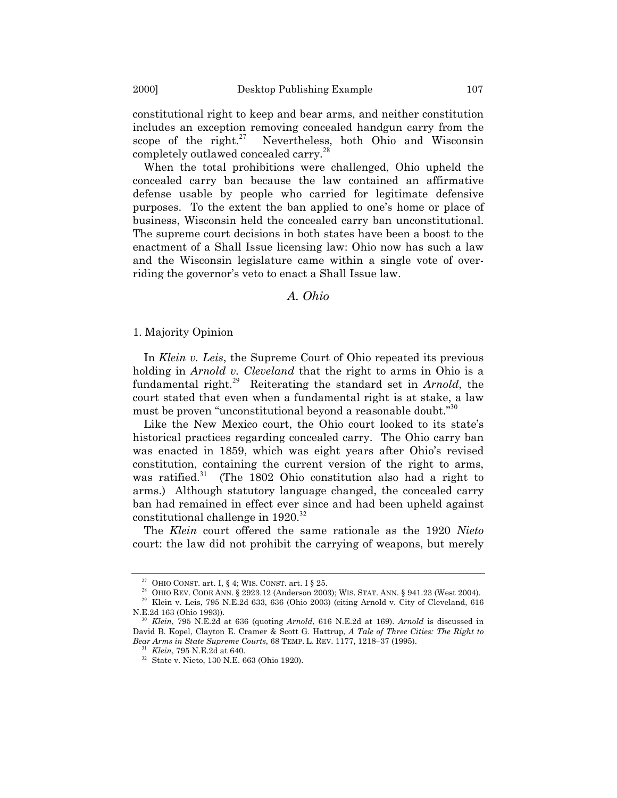constitutional right to keep and bear arms, and neither constitution includes an exception removing concealed handgun carry from the scope of the right. $27$  Nevertheless, both Ohio and Wisconsin completely outlawed concealed carry.[28](#page-6-1)

When the total prohibitions were challenged, Ohio upheld the concealed carry ban because the law contained an affirmative defense usable by people who carried for legitimate defensive purposes. To the extent the ban applied to one's home or place of business, Wisconsin held the concealed carry ban unconstitutional. The supreme court decisions in both states have been a boost to the enactment of a Shall Issue licensing law: Ohio now has such a law and the Wisconsin legislature came within a single vote of overriding the governor's veto to enact a Shall Issue law.

## *A. Ohio*

### 1. Majority Opinion

In *Klein v. Leis*, the Supreme Court of Ohio repeated its previous holding in *Arnold v. Cleveland* that the right to arms in Ohio is a fundamental right.[29](#page-6-2) Reiterating the standard set in *Arnold*, the court stated that even when a fundamental right is at stake, a law must be proven "unconstitutional beyond a reasonable doubt. $i^{30}$  $i^{30}$  $i^{30}$ 

Like the New Mexico court, the Ohio court looked to its state's historical practices regarding concealed carry. The Ohio carry ban was enacted in 1859, which was eight years after Ohio's revised constitution, containing the current version of the right to arms, was ratified.<sup>[31](#page-6-4)</sup> (The 1802 Ohio constitution also had a right to arms.) Although statutory language changed, the concealed carry ban had remained in effect ever since and had been upheld against constitutional challenge in  $1920.^{32}$  $1920.^{32}$  $1920.^{32}$ 

The *Klein* court offered the same rationale as the 1920 *Nieto*  court: the law did not prohibit the carrying of weapons, but merely

<span id="page-6-0"></span><sup>&</sup>lt;sup>27</sup> OHIO CONST. art. I, § 4; WIS. CONST. art. I § 25.

<span id="page-6-1"></span><sup>&</sup>lt;sup>28</sup> OHIO REV. CODE ANN. § 2923.12 (Anderson 2003); WIS. STAT. ANN. § 941.23 (West 2004).

<span id="page-6-2"></span> $29$  Klein v. Leis, 795 N.E.2d 633, 636 (Ohio 2003) (citing Arnold v. City of Cleveland, 616 N.E.2d 163 (Ohio 1993)).

<span id="page-6-3"></span><sup>30</sup> *Klein*, 795 N.E.2d at 636 (quoting *Arnold*, 616 N.E.2d at 169). *Arnold* is discussed in David B. Kopel, Clayton E. Cramer & Scott G. Hattrup, *A Tale of Three Cities: The Right to Bear Arms in State Supreme Courts*, 68 TEMP. L. REV. 1177, 1218-37 (1995).

<span id="page-6-4"></span><sup>31</sup> *Klein*, 795 N.E.2d at 640.

<span id="page-6-5"></span><sup>32</sup> [State v. Nieto,](http://www.westlaw.com/Find/Default.wl?rs=++++1.0&vr=2.0&DB=577&FindType=Y&SerialNum=1920133113) 130 N.E. 663 (Ohio 1920).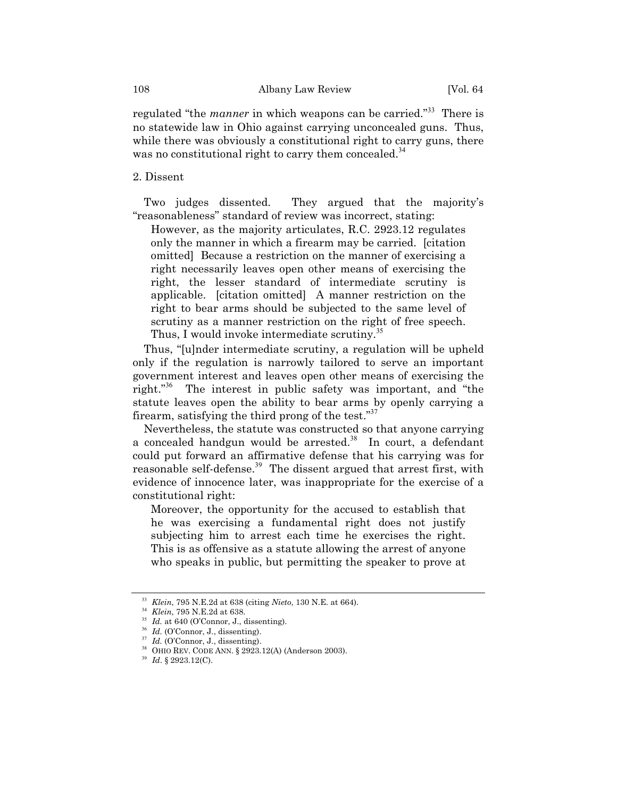regulated "the *manner* in which weapons can be carried."<sup>[33](#page-7-0)</sup> There is no statewide law in Ohio against carrying unconcealed guns. Thus, while there was obviously a constitutional right to carry guns, there was no constitutional right to carry them concealed.<sup>[34](#page-7-1)</sup>

## 2. Dissent

Two judges dissented. They argued that the majority's ìreasonablenessî standard of review was incorrect, stating:

However, as the majority articulates, R.C. 2923.12 regulates only the manner in which a firearm may be carried. [citation omitted] Because a restriction on the manner of exercising a right necessarily leaves open other means of exercising the right, the lesser standard of intermediate scrutiny is applicable. [citation omitted] A manner restriction on the right to bear arms should be subjected to the same level of scrutiny as a manner restriction on the right of free speech. Thus, I would invoke intermediate scrutiny.<sup>[35](#page-7-2)</sup>

Thus, "[u]nder intermediate scrutiny, a regulation will be upheld only if the regulation is narrowly tailored to serve an important government interest and leaves open other means of exercising the right. $i$ <sup>[36](#page-7-3)</sup> The interest in public safety was important, and "the statute leaves open the ability to bear arms by openly carrying a firearm, satisfying the third prong of the test. $37$ 

Nevertheless, the statute was constructed so that anyone carrying a concealed handgun would be arrested. $38$  In court, a defendant could put forward an affirmative defense that his carrying was for reasonable self-defense.<sup>[39](#page-7-6)</sup> The dissent argued that arrest first, with evidence of innocence later, was inappropriate for the exercise of a constitutional right:

Moreover, the opportunity for the accused to establish that he was exercising a fundamental right does not justify subjecting him to arrest each time he exercises the right. This is as offensive as a statute allowing the arrest of anyone who speaks in public, but permitting the speaker to prove at

<span id="page-7-0"></span><sup>33</sup> *Klein*, 795 N.E.2d at 638 (citing *Nieto*, 130 N.E. at 664).

<span id="page-7-1"></span><sup>34</sup> *Klein*, 795 N.E.2d at 638.

<span id="page-7-2"></span><sup>&</sup>lt;sup>35</sup> *Id.* at 640 (O'Connor, J., dissenting).

<span id="page-7-3"></span><sup>&</sup>lt;sup>36</sup> *Id.* (O'Connor, J., dissenting).

<span id="page-7-4"></span><sup>&</sup>lt;sup>37</sup> *Id.* (O'Connor, J., dissenting).

<span id="page-7-5"></span><sup>38</sup> OHIO REV. CODE ANN. ß 2923.12(A) (Anderson 2003).

<span id="page-7-6"></span><sup>39</sup> *Id*. ß 2923.12(C).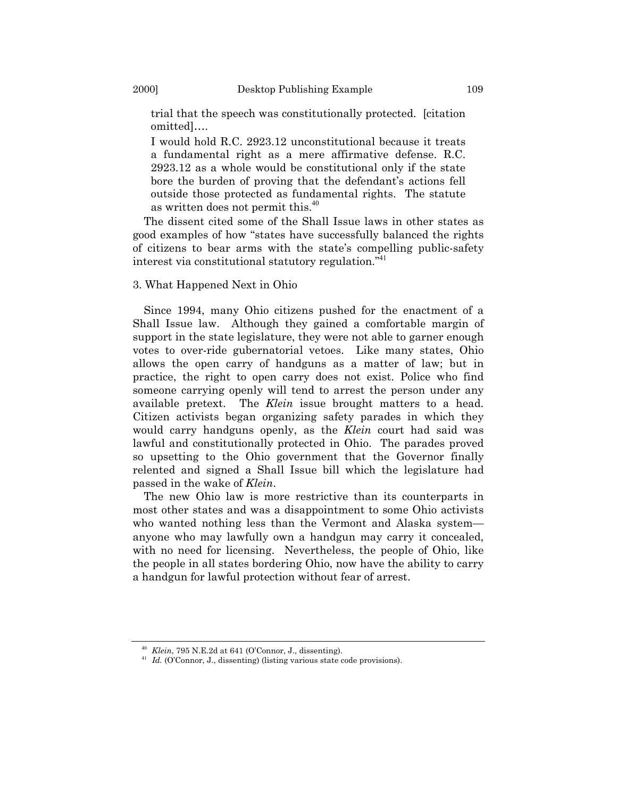trial that the speech was constitutionally protected. [citation omitted]....

I would hold R.C. 2923.12 unconstitutional because it treats a fundamental right as a mere affirmative defense. R.C. 2923.12 as a whole would be constitutional only if the state bore the burden of proving that the defendant's actions fell outside those protected as fundamental rights. The statute as written does not permit this.[40](#page-8-0)

The dissent cited some of the Shall Issue laws in other states as good examples of how "states have successfully balanced the rights of citizens to bear arms with the stateís compelling public-safety interest via constitutional statutory regulation.<sup>7[41](#page-8-1)</sup>

### 3. What Happened Next in Ohio

Since 1994, many Ohio citizens pushed for the enactment of a Shall Issue law. Although they gained a comfortable margin of support in the state legislature, they were not able to garner enough votes to over-ride gubernatorial vetoes. Like many states, Ohio allows the open carry of handguns as a matter of law; but in practice, the right to open carry does not exist. Police who find someone carrying openly will tend to arrest the person under any available pretext. The *Klein* issue brought matters to a head. Citizen activists began organizing safety parades in which they would carry handguns openly, as the *Klein* court had said was lawful and constitutionally protected in Ohio. The parades proved so upsetting to the Ohio government that the Governor finally relented and signed a Shall Issue bill which the legislature had passed in the wake of *Klein*.

The new Ohio law is more restrictive than its counterparts in most other states and was a disappointment to some Ohio activists who wanted nothing less than the Vermont and Alaska system anyone who may lawfully own a handgun may carry it concealed, with no need for licensing. Nevertheless, the people of Ohio, like the people in all states bordering Ohio, now have the ability to carry a handgun for lawful protection without fear of arrest.

<span id="page-8-0"></span> $^{40}$  *Klein*, 795 N.E.2d at 641 (O'Connor, J., dissenting).

<span id="page-8-1"></span> $^{41}$  *Id.* (O'Connor, J., dissenting) (listing various state code provisions).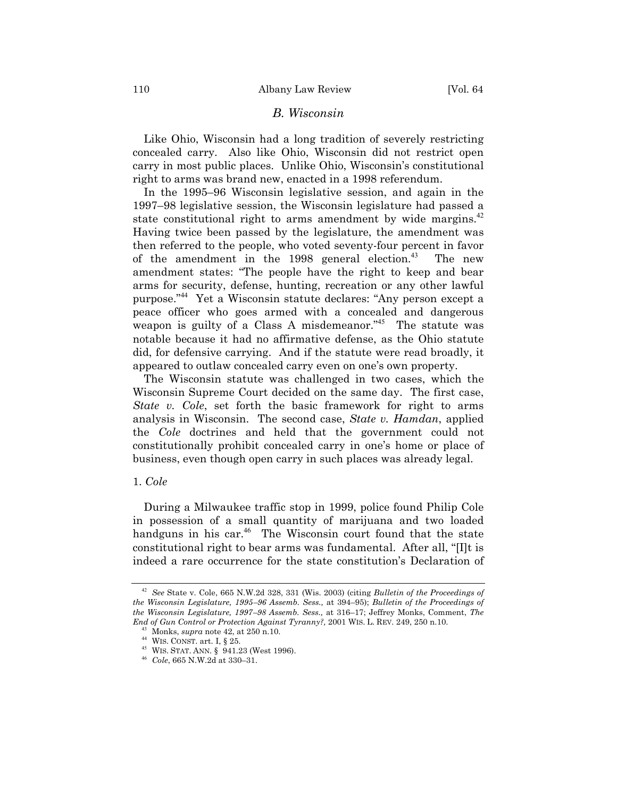### *B. Wisconsin*

Like Ohio, Wisconsin had a long tradition of severely restricting concealed carry. Also like Ohio, Wisconsin did not restrict open carry in most public places. Unlike Ohio, Wisconsin's constitutional right to arms was brand new, enacted in a 1998 referendum.

In the 1995–96 Wisconsin legislative session, and again in the 1997–98 legislative session, the Wisconsin legislature had passed a state constitutional right to arms amendment by wide margins.<sup>[42](#page-9-0)</sup> Having twice been passed by the legislature, the amendment was then referred to the people, who voted seventy-four percent in favor of the amendment in the  $1998$  general election.<sup>[43](#page-9-1)</sup> The new amendment states: "The people have the right to keep and bear arms for security, defense, hunting, recreation or any other lawful purpose."<sup>[44](#page-9-2)</sup> Yet a Wisconsin statute declares: "Any person except a peace officer who goes armed with a concealed and dangerous weapon is guilty of a Class A misdemeanor.<sup> $145$  $145$ </sup> The statute was notable because it had no affirmative defense, as the Ohio statute did, for defensive carrying. And if the statute were read broadly, it appeared to outlaw concealed carry even on one's own property.

The Wisconsin statute was challenged in two cases, which the Wisconsin Supreme Court decided on the same day. The first case, *State v. Cole*, set forth the basic framework for right to arms analysis in Wisconsin. The second case, *State v. Hamdan*, applied the *Cole* doctrines and held that the government could not constitutionally prohibit concealed carry in one's home or place of business, even though open carry in such places was already legal.

#### 1. *Cole*

During a Milwaukee traffic stop in 1999, police found Philip Cole in possession of a small quantity of marijuana and two loaded handguns in his car.<sup>[46](#page-9-4)</sup> The Wisconsin court found that the state constitutional right to bear arms was fundamental. After all, " $[1]$ t is indeed a rare occurrence for the state constitutionís Declaration of

<span id="page-9-0"></span><sup>42</sup> *See* State v. Cole, 665 N.W.2d 328, 331 (Wis. 2003) (citing *Bulletin of the Proceedings of the Wisconsin Legislature, 1995-96 Assemb. Sess., at 394-95); Bulletin of the Proceedings of the Wisconsin Legislature, 1997–98 Assemb. Sess., at 316–17; Jeffrey Monks, Comment, The End of Gun Control or Protection Against Tyranny?,* 2001 WIS. L. [REV. 249, 250 n.10.](http://www.westlaw.com/Find/Default.wl?rs=++++1.0&vr=2.0&DB=1290&FindType=Y&ReferencePositionType=S&SerialNum=0283707758&ReferencePosition=250)

<span id="page-9-1"></span><sup>43</sup> Monks, *supra* note 42, at 250 n.10.

<span id="page-9-2"></span> $^{44}$  WIS. CONST. art. I,  $\S$  25.

<span id="page-9-3"></span><sup>45</sup> WIS. STAT. ANN. ß 941.23 (West 1996).

<span id="page-9-4"></span><sup>&</sup>lt;sup>46</sup> *Cole*, 665 N.W.2d at 330–31.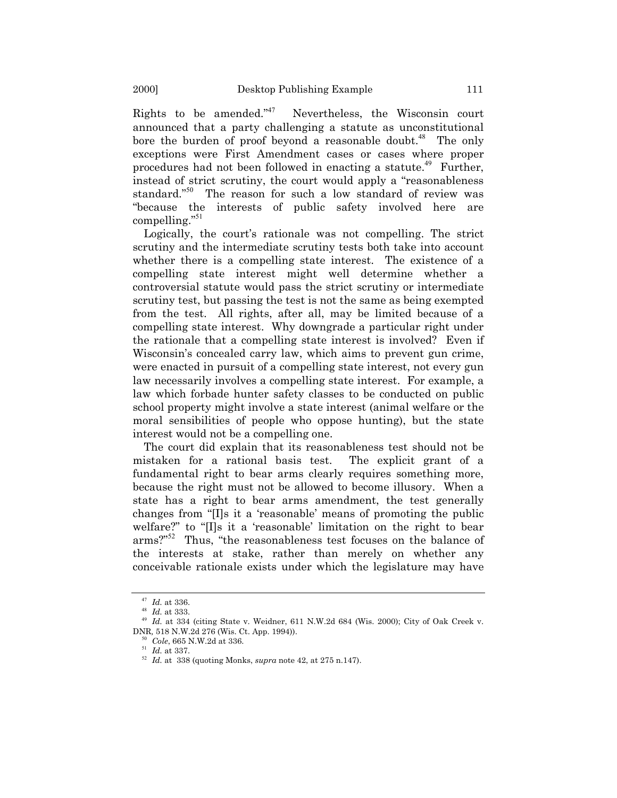Rights to be amended. $n_{47}$  $n_{47}$  $n_{47}$  Nevertheless, the Wisconsin court announced that a party challenging a statute as unconstitutional bore the burden of proof beyond a reasonable doubt.<sup>[48](#page-10-1)</sup> The only exceptions were First Amendment cases or cases where proper procedures had not been followed in enacting a statute.<sup>[49](#page-10-2)</sup> Further, instead of strict scrutiny, the court would apply a "reasonableness" standard."<sup>[50](#page-10-3)</sup> The reason for such a low standard of review was ìbecause the interests of public safety involved here are compelling. $\frac{351}{25}$  $\frac{351}{25}$  $\frac{351}{25}$ 

Logically, the court's rationale was not compelling. The strict scrutiny and the intermediate scrutiny tests both take into account whether there is a compelling state interest. The existence of a compelling state interest might well determine whether a controversial statute would pass the strict scrutiny or intermediate scrutiny test, but passing the test is not the same as being exempted from the test. All rights, after all, may be limited because of a compelling state interest. Why downgrade a particular right under the rationale that a compelling state interest is involved? Even if Wisconsin's concealed carry law, which aims to prevent gun crime, were enacted in pursuit of a compelling state interest, not every gun law necessarily involves a compelling state interest. For example, a law which forbade hunter safety classes to be conducted on public school property might involve a state interest (animal welfare or the moral sensibilities of people who oppose hunting), but the state interest would not be a compelling one.

The court did explain that its reasonableness test should not be mistaken for a rational basis test. The explicit grant of a fundamental right to bear arms clearly requires something more, because the right must not be allowed to become illusory. When a state has a right to bear arms amendment, the test generally changes from "[I]s it a 'reasonable' means of promoting the public welfare?" to "[I]s it a 'reasonable' limitation on the right to bear arms?"<sup>[52](#page-10-5)</sup> Thus, "the reasonableness test focuses on the balance of the interests at stake, rather than merely on whether any conceivable rationale exists under which the legislature may have

<span id="page-10-0"></span><sup>47</sup> *Id.* at 336.

<span id="page-10-1"></span><sup>48</sup> *Id.* at 333.

<span id="page-10-2"></span><sup>49</sup> *Id.* at 334 (citing [State v. Weidner,](http://www.westlaw.com/Find/Default.wl?rs=++++1.0&vr=2.0&DB=595&FindType=Y&SerialNum=2000382316) 611 N.W.2d 684 (Wis. 2000); City of Oak Creek v. DNR*,* [518 N.W.2d 276 \(Wis. Ct. App. 1994\)](http://www.westlaw.com/Find/Default.wl?rs=++++1.0&vr=2.0&DB=595&FindType=Y&SerialNum=1994104237)).

<span id="page-10-3"></span><sup>50</sup> *Cole*, 665 N.W.2d at 336.

<span id="page-10-4"></span><sup>51</sup> *Id.* at 337.

<span id="page-10-5"></span><sup>52</sup> *Id.* at 338 (quoting Monks, *supra* note 42, at 275 n.147).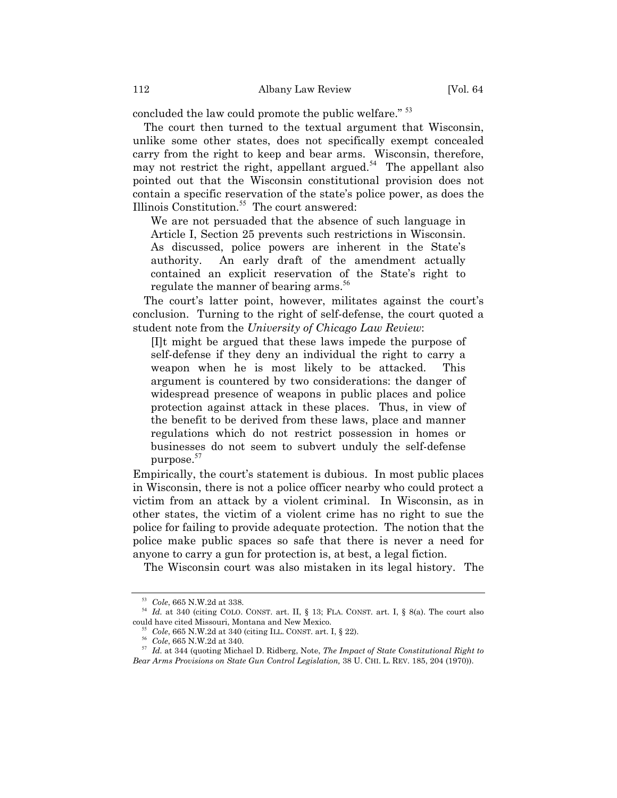concluded the law could promote the public welfare.<sup> $53$ </sup>

The court then turned to the textual argument that Wisconsin, unlike some other states, does not specifically exempt concealed carry from the right to keep and bear arms. Wisconsin, therefore, may not restrict the right, appellant argued.<sup>[54](#page-11-1)</sup> The appellant also pointed out that the Wisconsin constitutional provision does not contain a specific reservation of the state's police power, as does the Illinois Constitution.[55](#page-11-2) The court answered:

We are not persuaded that the absence of such language in Article I, Section 25 prevents such restrictions in Wisconsin. As discussed, police powers are inherent in the State's authority. An early draft of the amendment actually contained an explicit reservation of the State's right to regulate the manner of bearing arms.<sup>[56](#page-11-3)</sup>

The court's latter point, however, militates against the court's conclusion. Turning to the right of self-defense, the court quoted a student note from the *University of Chicago Law Review*:

[I]t might be argued that these laws impede the purpose of self-defense if they deny an individual the right to carry a weapon when he is most likely to be attacked. This argument is countered by two considerations: the danger of widespread presence of weapons in public places and police protection against attack in these places. Thus, in view of the benefit to be derived from these laws, place and manner regulations which do not restrict possession in homes or businesses do not seem to subvert unduly the self-defense purpose.<sup>[57](#page-11-4)</sup>

Empirically, the court's statement is dubious. In most public places in Wisconsin, there is not a police officer nearby who could protect a victim from an attack by a violent criminal. In Wisconsin, as in other states, the victim of a violent crime has no right to sue the police for failing to provide adequate protection. The notion that the police make public spaces so safe that there is never a need for anyone to carry a gun for protection is, at best, a legal fiction.

The Wisconsin court was also mistaken in its legal history. The

<span id="page-11-0"></span><sup>53</sup> *Cole*, 665 N.W.2d at 338.

<span id="page-11-1"></span><sup>&</sup>lt;sup>54</sup> *Id.* at 340 (citing COLO. CONST. art. II, § 13; FLA. CONST. art. I, § 8(a). The court also could have cited Missouri, Montana and New Mexico.

<span id="page-11-2"></span><sup>55</sup> *Cole*, 665 N.W.2d at 340 (citing ILL. CONST. art. I, ß 22).

<span id="page-11-3"></span><sup>56</sup> *Cole*, 665 N.W.2d at 340.

<span id="page-11-4"></span><sup>57</sup> *Id.* at 344 (quoting Michael D. Ridberg, Note, *The Impact of State Constitutional Right to Bear Arms Provisions on State Gun Control Legislation,* 38 U. CHI. L. REV. 185, 204 (1970)).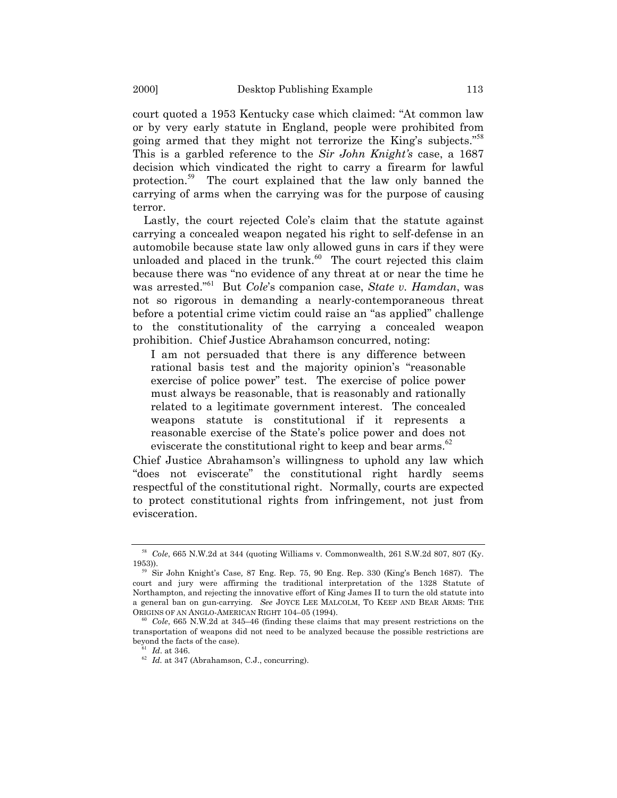court quoted a 1953 Kentucky case which claimed: "At common law or by very early statute in England, people were prohibited from going armed that they might not terrorize the King's subjects.<sup>5[58](#page-12-0)</sup> This is a garbled reference to the *Sir John Knight's* case, a 1687 decision which vindicated the right to carry a firearm for lawful protection.[59](#page-12-1) The court explained that the law only banned the carrying of arms when the carrying was for the purpose of causing terror.

Lastly, the court rejected Cole's claim that the statute against carrying a concealed weapon negated his right to self-defense in an automobile because state law only allowed guns in cars if they were unloaded and placed in the trunk. $60$  The court rejected this claim because there was "no evidence of any threat at or near the time he was arrested.<sup><sup>[61](#page-12-3)</sup></sup> But *Cole*'s companion case, *State v. Hamdan*, was not so rigorous in demanding a nearly-contemporaneous threat before a potential crime victim could raise an "as applied" challenge to the constitutionality of the carrying a concealed weapon prohibition. Chief Justice Abrahamson concurred, noting:

I am not persuaded that there is any difference between rational basis test and the majority opinion's "reasonable exercise of police power" test. The exercise of police power must always be reasonable, that is reasonably and rationally related to a legitimate government interest. The concealed weapons statute is constitutional if it represents a reasonable exercise of the Stateís police power and does not eviscerate the constitutional right to keep and bear arms.<sup>[62](#page-12-4)</sup>

Chief Justice Abrahamson's willingness to uphold any law which "does not eviscerate" the constitutional right hardly seems respectful of the constitutional right. Normally, courts are expected to protect constitutional rights from infringement, not just from evisceration.

<span id="page-12-0"></span><sup>58</sup> *Cole*, 665 N.W.2d at 344 (quoting [Williams v. Commonwealth,](http://www.westlaw.com/Find/Default.wl?rs=++++1.0&vr=2.0&DB=713&FindType=Y&ReferencePositionType=S&SerialNum=1953116174&ReferencePosition=807) 261 S.W.2d 807, 807 (Ky. 1953)).

<span id="page-12-1"></span><sup>59</sup> Sir John Knightís Case*,* 87 Eng. Rep. 75, 90 Eng. Rep. 330 (Kingís Bench 1687). The court and jury were affirming the traditional interpretation of the 1328 Statute of Northampton, and rejecting the innovative effort of King James II to turn the old statute into a general ban on gun-carrying. *See* JOYCE LEE MALCOLM, TO KEEP AND BEAR ARMS: THE ORIGINS OF AN ANGLO-AMERICAN RIGHT 104-05 (1994).

<span id="page-12-2"></span> $60$  *Cole*, 665 N.W.2d at 345–46 (finding these claims that may present restrictions on the transportation of weapons did not need to be analyzed because the possible restrictions are beyond the facts of the case).

<span id="page-12-3"></span>*Id.* at 346.

<span id="page-12-4"></span><sup>62</sup> *Id.* at 347 (Abrahamson, C.J., concurring).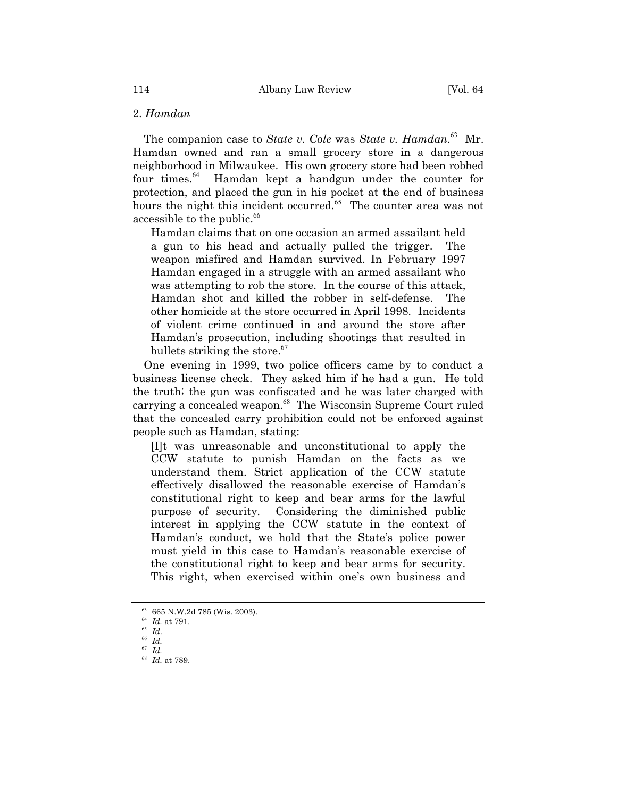### 2. *Hamdan*

The companion case to *State v. Cole* was *State v. Hamdan*. [63](#page-13-0) Mr. Hamdan owned and ran a small grocery store in a dangerous neighborhood in Milwaukee. His own grocery store had been robbed four times.[64](#page-13-1) Hamdan kept a handgun under the counter for protection, and placed the gun in his pocket at the end of business hours the night this incident occurred.<sup>[65](#page-13-2)</sup> The counter area was not accessible to the public.<sup>[66](#page-13-3)</sup>

Hamdan claims that on one occasion an armed assailant held a gun to his head and actually pulled the trigger. The weapon misfired and Hamdan survived. In February 1997 Hamdan engaged in a struggle with an armed assailant who was attempting to rob the store. In the course of this attack, Hamdan shot and killed the robber in self-defense. The other homicide at the store occurred in April 1998. Incidents of violent crime continued in and around the store after Hamdanís prosecution, including shootings that resulted in bullets striking the store. $67$ 

One evening in 1999, two police officers came by to conduct a business license check. They asked him if he had a gun. He told the truth; the gun was confiscated and he was later charged with carrying a concealed weapon.<sup>[68](#page-13-5)</sup> The Wisconsin Supreme Court ruled that the concealed carry prohibition could not be enforced against people such as Hamdan, stating:

[I]t was unreasonable and unconstitutional to apply the CCW statute to punish Hamdan on the facts as we understand them. Strict application of the CCW statute effectively disallowed the reasonable exercise of Hamdanís constitutional right to keep and bear arms for the lawful purpose of security. Considering the diminished public interest in applying the CCW statute in the context of Hamdanís conduct, we hold that the Stateís police power must yield in this case to Hamdanís reasonable exercise of the constitutional right to keep and bear arms for security. This right, when exercised within one's own business and

<span id="page-13-1"></span><sup>64</sup> *Id.* at 791.

<span id="page-13-0"></span><sup>63</sup> 665 N.W.2d 785 (Wis. 2003).

<span id="page-13-2"></span><sup>65</sup> *Id*.

<span id="page-13-3"></span><sup>66</sup> *Id.*

<span id="page-13-4"></span><sup>67</sup> *Id.*

<span id="page-13-5"></span><sup>68</sup> *Id.* at 789.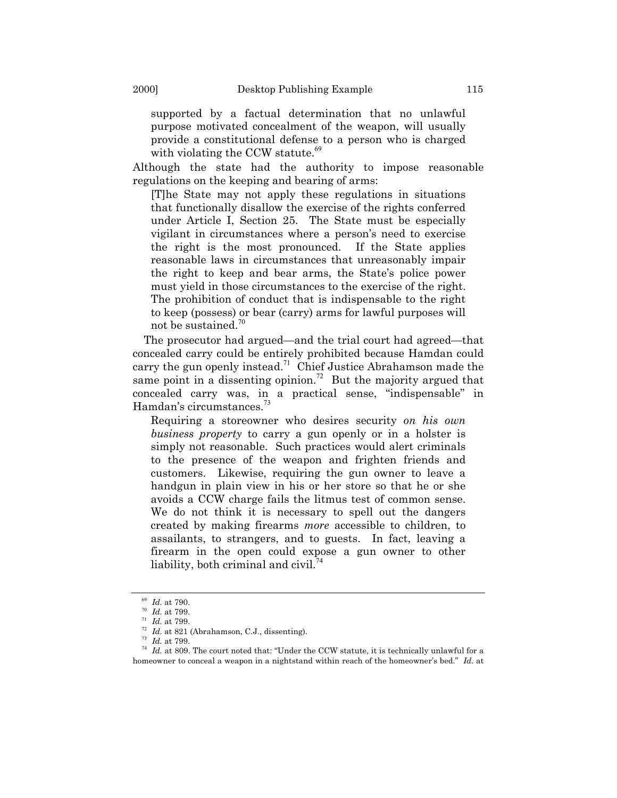supported by a factual determination that no unlawful purpose motivated concealment of the weapon, will usually provide a constitutional defense to a person who is charged with violating the CCW statute.<sup>[69](#page-14-0)</sup>

Although the state had the authority to impose reasonable regulations on the keeping and bearing of arms:

[T]he State may not apply these regulations in situations that functionally disallow the exercise of the rights conferred under Article I, Section 25. The State must be especially vigilant in circumstances where a person's need to exercise the right is the most pronounced. If the State applies reasonable laws in circumstances that unreasonably impair the right to keep and bear arms, the State's police power must yield in those circumstances to the exercise of the right. The prohibition of conduct that is indispensable to the right to keep (possess) or bear (carry) arms for lawful purposes will not be sustained.[70](#page-14-1)

The prosecutor had argued—and the trial court had agreed—that concealed carry could be entirely prohibited because Hamdan could carry the gun openly instead.<sup>[71](#page-14-2)</sup> Chief Justice Abrahamson made the same point in a dissenting opinion.<sup>[72](#page-14-3)</sup> But the majority argued that concealed carry was, in a practical sense, "indispensable" in Hamdan's circumstances.<sup>[73](#page-14-4)</sup>

Requiring a storeowner who desires security *on his own business property* to carry a gun openly or in a holster is simply not reasonable. Such practices would alert criminals to the presence of the weapon and frighten friends and customers. Likewise, requiring the gun owner to leave a handgun in plain view in his or her store so that he or she avoids a CCW charge fails the litmus test of common sense. We do not think it is necessary to spell out the dangers created by making firearms *more* accessible to children, to assailants, to strangers, and to guests. In fact, leaving a firearm in the open could expose a gun owner to other liability, both criminal and civil.<sup>[74](#page-14-5)</sup>

<span id="page-14-0"></span><sup>69</sup> *Id.* at 790.

<span id="page-14-1"></span><sup>70</sup> *Id.* at 799.

<span id="page-14-2"></span><sup>71</sup> *Id.* at 799.

<span id="page-14-3"></span> $72$  *Id.* at 821 (Abrahamson, C.J., dissenting).

<span id="page-14-4"></span><sup>73</sup> *Id.* at 799.

<span id="page-14-5"></span> $74$  *Id.* at 809. The court noted that: "Under the CCW statute, it is technically unlawful for a homeowner to conceal a weapon in a nightstand within reach of the homeowner's bed.<sup>"</sup> Id. at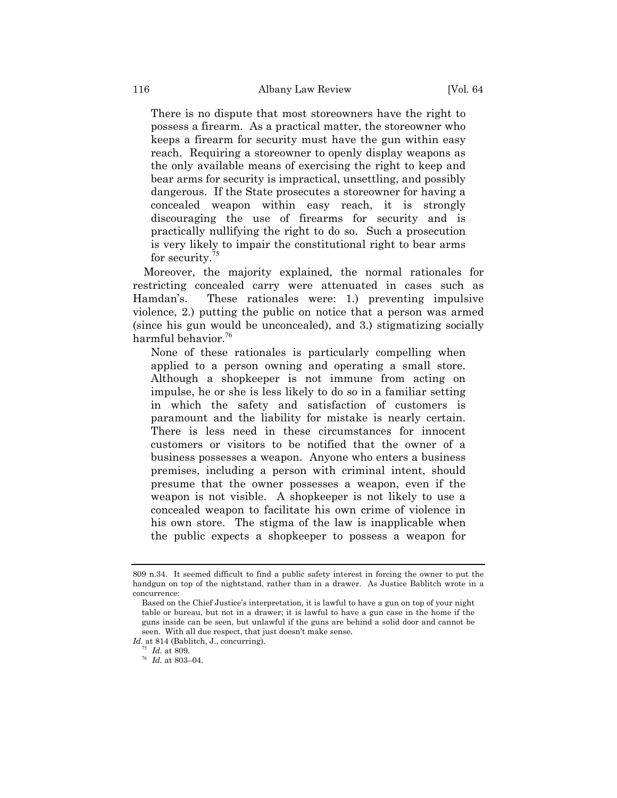There is no dispute that most storeowners have the right to possess a firearm. As a practical matter, the storeowner who keeps a firearm for security must have the gun within easy reach. Requiring a storeowner to openly display weapons as the only available means of exercising the right to keep and bear arms for security is impractical, unsettling, and possibly dangerous. If the State prosecutes a storeowner for having a concealed weapon within easy reach, it is strongly discouraging the use of firearms for security and is practically nullifying the right to do so. Such a prosecution is very likely to impair the constitutional right to bear arms for security.<sup>[75](#page-15-0)</sup>

Moreover, the majority explained, the normal rationales for restricting concealed carry were attenuated in cases such as Hamdanís. These rationales were: 1.) preventing impulsive violence, 2.) putting the public on notice that a person was armed (since his gun would be unconcealed), and 3.) stigmatizing socially harmful behavior.<sup>[76](#page-15-1)</sup>

None of these rationales is particularly compelling when applied to a person owning and operating a small store. Although a shopkeeper is not immune from acting on impulse, he or she is less likely to do so in a familiar setting in which the safety and satisfaction of customers is paramount and the liability for mistake is nearly certain. There is less need in these circumstances for innocent customers or visitors to be notified that the owner of a business possesses a weapon. Anyone who enters a business premises, including a person with criminal intent, should presume that the owner possesses a weapon, even if the weapon is not visible. A shopkeeper is not likely to use a concealed weapon to facilitate his own crime of violence in his own store. The stigma of the law is inapplicable when the public expects a shopkeeper to possess a weapon for

<span id="page-15-0"></span>*Id.* at 814 (Bablitch, J., concurring).

<sup>809</sup> n.34. It seemed difficult to find a public safety interest in forcing the owner to put the handgun on top of the nightstand, rather than in a drawer. As Justice Bablitch wrote in a concurrence:

Based on the Chief Justice's interpretation, it is lawful to have a gun on top of your night table or bureau, but not in a drawer; it is lawful to have a gun case in the home if the guns inside can be seen, but unlawful if the guns are behind a solid door and cannot be seen. With all due respect, that just doesn't make sense.

*Id.* at 809.

<span id="page-15-1"></span> $^{76}$  *Id.* at 803–04.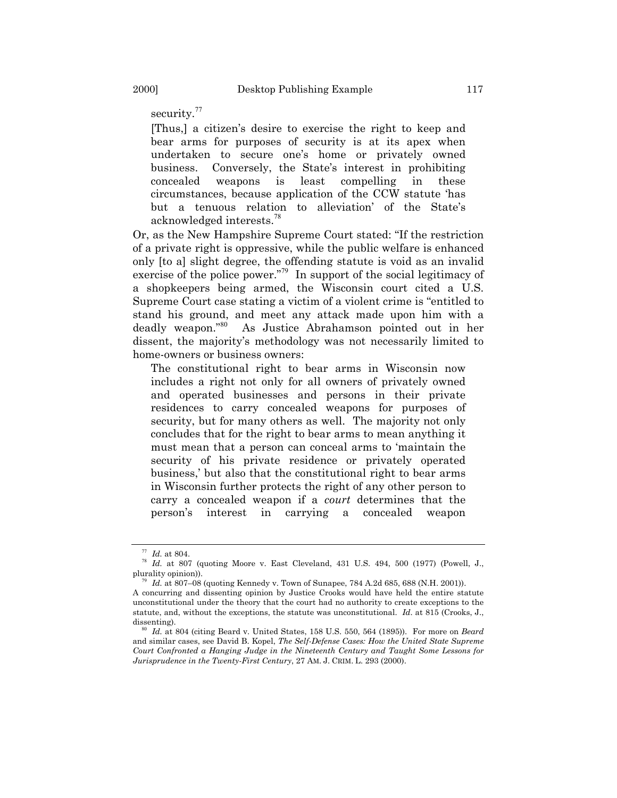security.<sup>[77](#page-16-0)</sup>

[Thus,] a citizen's desire to exercise the right to keep and bear arms for purposes of security is at its apex when undertaken to secure one's home or privately owned business. Conversely, the State's interest in prohibiting concealed weapons is least compelling in these circumstances, because application of the CCW statute ëhas but a tenuous relation to alleviation' of the State's acknowledged interests.[78](#page-16-1)

Or, as the New Hampshire Supreme Court stated: "If the restriction of a private right is oppressive, while the public welfare is enhanced only [to a] slight degree, the offending statute is void as an invalid exercise of the police power.<sup> $79$ </sup> In support of the social legitimacy of a shopkeepers being armed, the Wisconsin court cited a U.S. Supreme Court case stating a victim of a violent crime is "entitled to stand his ground, and meet any attack made upon him with a deadly weapon."<sup>[80](#page-16-3)</sup> As Justice Abrahamson pointed out in her dissent, the majorityís methodology was not necessarily limited to home-owners or business owners:

The constitutional right to bear arms in Wisconsin now includes a right not only for all owners of privately owned and operated businesses and persons in their private residences to carry concealed weapons for purposes of security, but for many others as well. The majority not only concludes that for the right to bear arms to mean anything it must mean that a person can conceal arms to 'maintain the security of his private residence or privately operated business,' but also that the constitutional right to bear arms in Wisconsin further protects the right of any other person to carry a concealed weapon if a *court* determines that the personís interest in carrying a concealed weapon

<span id="page-16-0"></span><sup>77</sup> *Id.* at 804.

<span id="page-16-1"></span><sup>78</sup> *Id.* at 807 (quoting Moore v. East Cleveland, [431 U.S. 494, 500 \(1977\)](http://www.westlaw.com/Find/Default.wl?rs=++++1.0&vr=2.0&DB=708&FindType=Y&SerialNum=1977118791) (Powell, J., plurality opinion)).

<span id="page-16-2"></span>*Id.* at 807–08 (quoting Kennedy v. Town of Sunapee, [784 A.2d 685, 688 \(N.H. 2001\)\)](http://www.westlaw.com/Find/Default.wl?rs=++++1.0&vr=2.0&DB=162&FindType=Y&ReferencePositionType=S&SerialNum=2001850170&ReferencePosition=688).

A concurring and dissenting opinion by Justice Crooks would have held the entire statute unconstitutional under the theory that the court had no authority to create exceptions to the statute, and, without the exceptions, the statute was unconstitutional. *Id*. at 815 (Crooks, J., dissenting).

<span id="page-16-3"></span><sup>80</sup> *Id.* at 804 (citing Beard v. United States, 158 [U.S. 550, 564 \(1895\)](http://www.westlaw.com/Find/Default.wl?rs=++++1.0&vr=2.0&DB=708&FindType=Y&SerialNum=1895180127)). For more on *Beard* and similar cases, see David B. Kopel, *The Self-Defense Cases: How the United State Supreme Court Confronted a Hanging Judge in the Nineteenth Century and Taught Some Lessons for Jurisprudence in the Twenty-First Century*, 27 AM. J. CRIM. L. 293 (2000).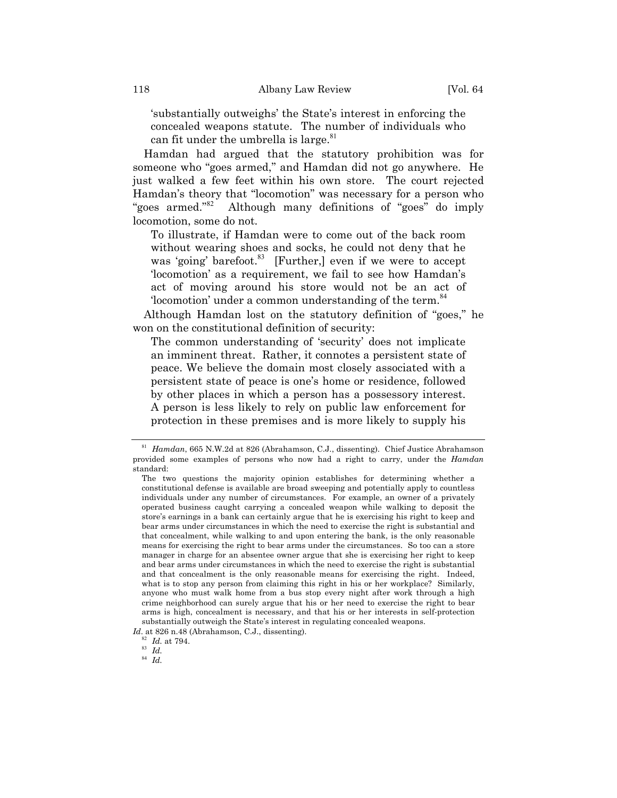substantially outweighs' the State's interest in enforcing the concealed weapons statute. The number of individuals who can fit under the umbrella is large. $81$ 

Hamdan had argued that the statutory prohibition was for someone who "goes armed," and Hamdan did not go anywhere. He just walked a few feet within his own store. The court rejected Hamdan's theory that "locomotion" was necessary for a person who "goes armed. $i^{82}$  $i^{82}$  $i^{82}$  Although many definitions of "goes" do imply locomotion, some do not.

To illustrate, if Hamdan were to come out of the back room without wearing shoes and socks, he could not deny that he was 'going' barefoot.<sup>[83](#page-17-2)</sup> [Further,] even if we were to accept 'locomotion' as a requirement, we fail to see how Hamdan's act of moving around his store would not be an act of 'locomotion' under a common understanding of the term.<sup>[84](#page-17-3)</sup>

Although Hamdan lost on the statutory definition of "goes," he won on the constitutional definition of security:

The common understanding of 'security' does not implicate an imminent threat. Rather, it connotes a persistent state of peace. We believe the domain most closely associated with a persistent state of peace is one's home or residence, followed by other places in which a person has a possessory interest. A person is less likely to rely on public law enforcement for protection in these premises and is more likely to supply his

<span id="page-17-0"></span><sup>81</sup> *Hamdan*, 665 N.W.2d at 826 (Abrahamson, C.J., dissenting). Chief Justice Abrahamson provided some examples of persons who now had a right to carry, under the *Hamdan* standard:

The two questions the majority opinion establishes for determining whether a constitutional defense is available are broad sweeping and potentially apply to countless individuals under any number of circumstances. For example, an owner of a privately operated business caught carrying a concealed weapon while walking to deposit the store's earnings in a bank can certainly argue that he is exercising his right to keep and bear arms under circumstances in which the need to exercise the right is substantial and that concealment, while walking to and upon entering the bank, is the only reasonable means for exercising the right to bear arms under the circumstances. So too can a store manager in charge for an absentee owner argue that she is exercising her right to keep and bear arms under circumstances in which the need to exercise the right is substantial and that concealment is the only reasonable means for exercising the right. Indeed, what is to stop any person from claiming this right in his or her workplace? Similarly, anyone who must walk home from a bus stop every night after work through a high crime neighborhood can surely argue that his or her need to exercise the right to bear arms is high, concealment is necessary, and that his or her interests in self-protection substantially outweigh the State's interest in regulating concealed weapons.

<span id="page-17-1"></span>*Id*. at 826 n.48 (Abrahamson, C.J., dissenting).

*Id.* at 794.

<span id="page-17-2"></span><sup>83</sup> *Id.*

<span id="page-17-3"></span><sup>84</sup> *Id.*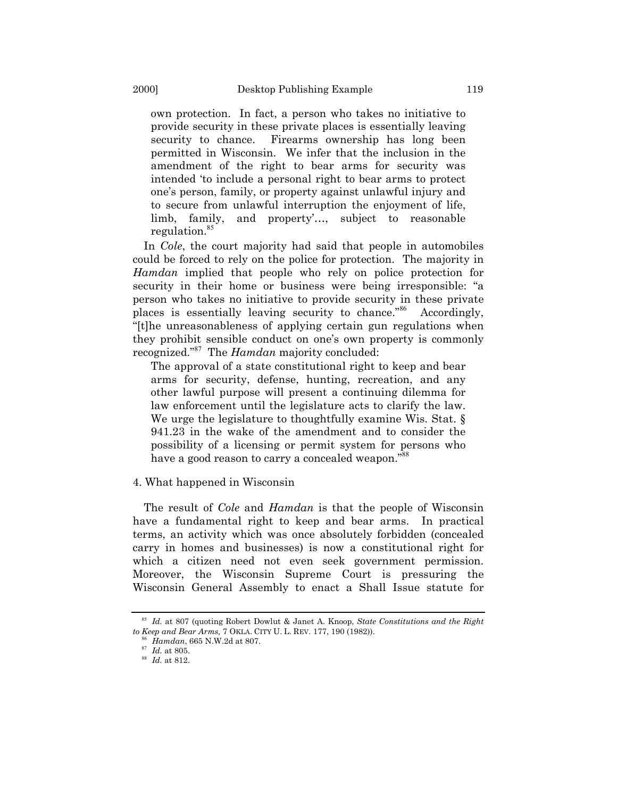own protection. In fact, a person who takes no initiative to provide security in these private places is essentially leaving security to chance. Firearms ownership has long been permitted in Wisconsin. We infer that the inclusion in the amendment of the right to bear arms for security was intended ëto include a personal right to bear arms to protect oneís person, family, or property against unlawful injury and to secure from unlawful interruption the enjoyment of life, limb, family, and property'..., subject to reasonable regulation.<sup>[85](#page-18-0)</sup>

In *Cole*, the court majority had said that people in automobiles could be forced to rely on the police for protection. The majority in *Hamdan* implied that people who rely on police protection for security in their home or business were being irresponsible: "a person who takes no initiative to provide security in these private places is essentially leaving security to chance.<sup>[86](#page-18-1)</sup> Accordingly, ì[t]he unreasonableness of applying certain gun regulations when they prohibit sensible conduct on one's own property is commonly recognized.<sup>[87](#page-18-2)</sup> The *Hamdan* majority concluded:

The approval of a state constitutional right to keep and bear arms for security, defense, hunting, recreation, and any other lawful purpose will present a continuing dilemma for law enforcement until the legislature acts to clarify the law. We urge the legislature to thoughtfully examine Wis. Stat.  $\S$ 941.23 in the wake of the amendment and to consider the possibility of a licensing or permit system for persons who have a good reason to carry a concealed weapon.<sup>[88](#page-18-3)8</sup>

### 4. What happened in Wisconsin

The result of *Cole* and *Hamdan* is that the people of Wisconsin have a fundamental right to keep and bear arms. In practical terms, an activity which was once absolutely forbidden (concealed carry in homes and businesses) is now a constitutional right for which a citizen need not even seek government permission. Moreover, the Wisconsin Supreme Court is pressuring the Wisconsin General Assembly to enact a Shall Issue statute for

<span id="page-18-0"></span><sup>85</sup> *Id.* at 807 (quoting Robert Dowlut & Janet A. Knoop, *State Constitutions and the Right to Keep and Bear Arms,* 7 OKLA. CITY U. L. REV. 177, 190 (1982)).

<span id="page-18-1"></span><sup>86</sup> *Hamdan*, 665 N.W.2d at 807.

<span id="page-18-2"></span><sup>87</sup> *Id.* at 805.

<span id="page-18-3"></span><sup>88</sup> *Id.* at 812.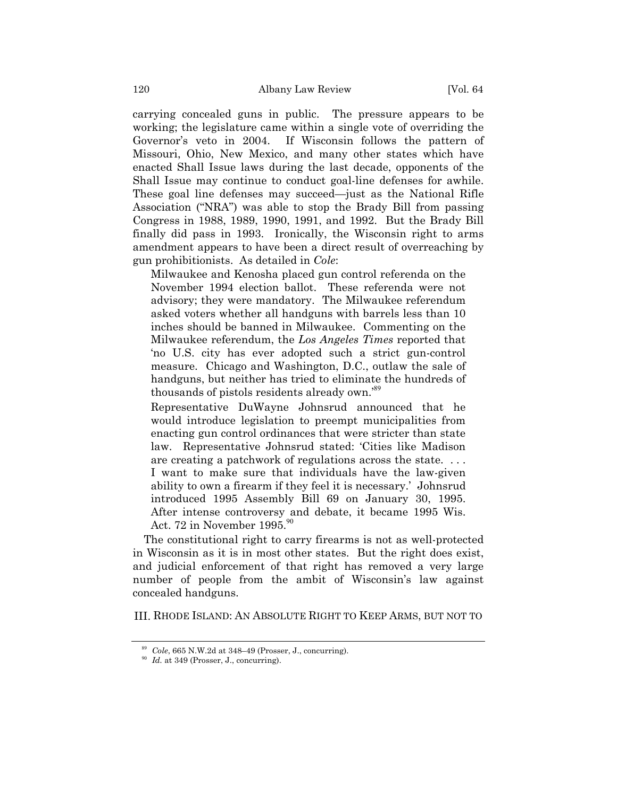carrying concealed guns in public. The pressure appears to be working; the legislature came within a single vote of overriding the Governorís veto in 2004. If Wisconsin follows the pattern of Missouri, Ohio, New Mexico, and many other states which have enacted Shall Issue laws during the last decade, opponents of the Shall Issue may continue to conduct goal-line defenses for awhile. These goal line defenses may succeed—just as the National Rifle Association ("NRA") was able to stop the Brady Bill from passing Congress in 1988, 1989, 1990, 1991, and 1992. But the Brady Bill finally did pass in 1993. Ironically, the Wisconsin right to arms amendment appears to have been a direct result of overreaching by gun prohibitionists. As detailed in *Cole*:

Milwaukee and Kenosha placed gun control referenda on the November 1994 election ballot. These referenda were not advisory; they were mandatory. The Milwaukee referendum asked voters whether all handguns with barrels less than 10 inches should be banned in Milwaukee. Commenting on the Milwaukee referendum, the *Los Angeles Times* reported that ëno U.S. city has ever adopted such a strict gun-control measure. Chicago and Washington, D.C., outlaw the sale of handguns, but neither has tried to eliminate the hundreds of thousands of pistols residents already own.<sup>[89](#page-19-0)</sup>

Representative DuWayne Johnsrud announced that he would introduce legislation to preempt municipalities from enacting gun control ordinances that were stricter than state law. Representative Johnsrud stated: ëCities like Madison are creating a patchwork of regulations across the state. . . . I want to make sure that individuals have the law-given ability to own a firearm if they feel it is necessary. Johnsrud introduced 1995 Assembly Bill 69 on January 30, 1995. After intense controversy and debate, it became 1995 Wis. Act. 72 in November  $1995.^{90}$  $1995.^{90}$  $1995.^{90}$ 

The constitutional right to carry firearms is not as well-protected in Wisconsin as it is in most other states. But the right does exist, and judicial enforcement of that right has removed a very large number of people from the ambit of Wisconsin's law against concealed handguns.

III. RHODE ISLAND: AN ABSOLUTE RIGHT TO KEEP ARMS, BUT NOT TO

<span id="page-19-0"></span> $89$  *Cole*, 665 N.W.2d at 348–49 (Prosser, J., concurring).

<span id="page-19-1"></span><sup>&</sup>lt;sup>90</sup> *Id.* at 349 (Prosser, J., concurring).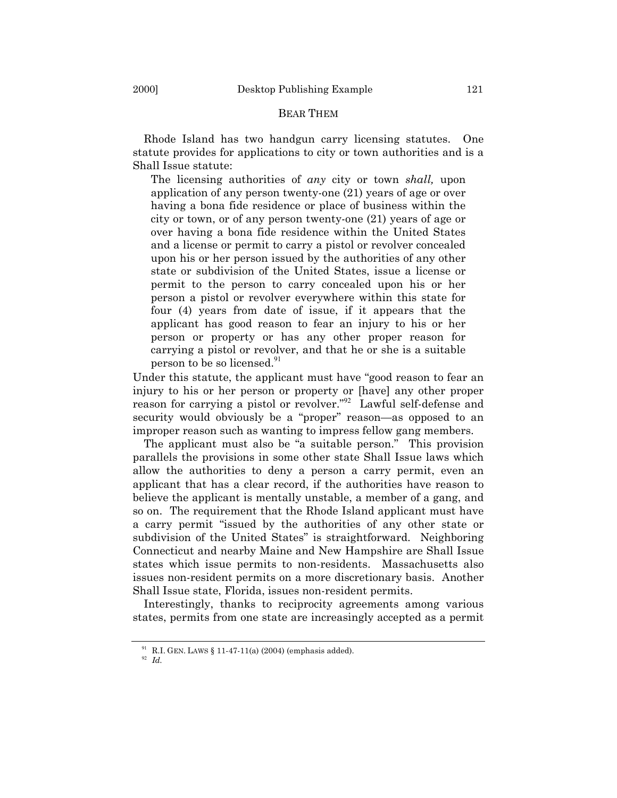## BEAR THEM

Rhode Island has two handgun carry licensing statutes. One statute provides for applications to city or town authorities and is a Shall Issue statute:

The licensing authorities of *any* city or town *shall,* upon application of any person twenty-one (21) years of age or over having a bona fide residence or place of business within the city or town, or of any person twenty-one (21) years of age or over having a bona fide residence within the United States and a license or permit to carry a pistol or revolver concealed upon his or her person issued by the authorities of any other state or subdivision of the United States, issue a license or permit to the person to carry concealed upon his or her person a pistol or revolver everywhere within this state for four (4) years from date of issue, if it appears that the applicant has good reason to fear an injury to his or her person or property or has any other proper reason for carrying a pistol or revolver, and that he or she is a suitable person to be so licensed.<sup>[91](#page-20-0)</sup>

Under this statute, the applicant must have "good reason to fear an injury to his or her person or property or [have] any other proper reason for carrying a pistol or revolver."<sup>[92](#page-20-1)</sup> Lawful self-defense and security would obviously be a "proper" reason—as opposed to an improper reason such as wanting to impress fellow gang members.

The applicant must also be "a suitable person." This provision parallels the provisions in some other state Shall Issue laws which allow the authorities to deny a person a carry permit, even an applicant that has a clear record, if the authorities have reason to believe the applicant is mentally unstable, a member of a gang, and so on. The requirement that the Rhode Island applicant must have a carry permit "issued by the authorities of any other state or subdivision of the United States" is straightforward. Neighboring Connecticut and nearby Maine and New Hampshire are Shall Issue states which issue permits to non-residents. Massachusetts also issues non-resident permits on a more discretionary basis. Another Shall Issue state, Florida, issues non-resident permits.

Interestingly, thanks to reciprocity agreements among various states, permits from one state are increasingly accepted as a permit

<span id="page-20-0"></span><sup>&</sup>lt;sup>91</sup> R.I. GEN. LAWS  $\S 11-47-11(a)$  (2004) (emphasis added).

<span id="page-20-1"></span><sup>92</sup> *Id.*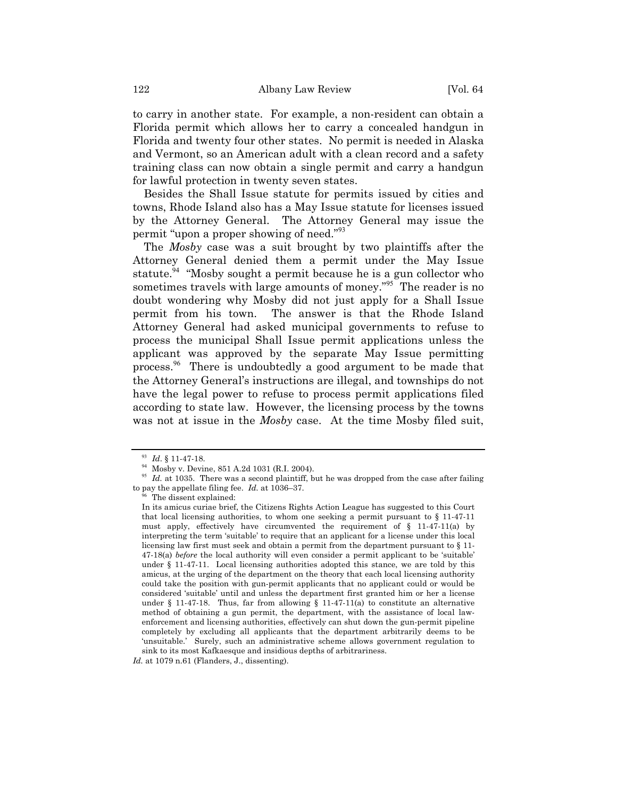to carry in another state. For example, a non-resident can obtain a Florida permit which allows her to carry a concealed handgun in Florida and twenty four other states. No permit is needed in Alaska and Vermont, so an American adult with a clean record and a safety training class can now obtain a single permit and carry a handgun for lawful protection in twenty seven states.

Besides the Shall Issue statute for permits issued by cities and towns, Rhode Island also has a May Issue statute for licenses issued by the Attorney General. The Attorney General may issue the permit "upon a proper showing of need."<sup>[93](#page-21-0)</sup>

The *Mosby* case was a suit brought by two plaintiffs after the Attorney General denied them a permit under the May Issue statute.<sup>[94](#page-21-1)</sup> "Mosby sought a permit because he is a gun collector who sometimes travels with large amounts of money.<sup>"[95](#page-21-2)</sup> The reader is no doubt wondering why Mosby did not just apply for a Shall Issue permit from his town. The answer is that the Rhode Island Attorney General had asked municipal governments to refuse to process the municipal Shall Issue permit applications unless the applicant was approved by the separate May Issue permitting process.<sup>[96](#page-21-3)</sup> There is undoubtedly a good argument to be made that the Attorney Generalís instructions are illegal, and townships do not have the legal power to refuse to process permit applications filed according to state law. However, the licensing process by the towns was not at issue in the *Mosby* case. At the time Mosby filed suit,

<span id="page-21-3"></span><sup>96</sup> The dissent explained:

<span id="page-21-0"></span><sup>93</sup> *Id*. ß 11-47-18.

<sup>94</sup> Mosby v. Devine, 851 A.2d 1031 (R.I. 2004).

<span id="page-21-2"></span><span id="page-21-1"></span><sup>&</sup>lt;sup>95</sup> *Id.* at 1035. There was a second plaintiff, but he was dropped from the case after failing to pay the appellate filing fee.  $Id$ . at 1036-37.

In its amicus curiae brief, the Citizens Rights Action League has suggested to this Court that local licensing authorities, to whom one seeking a permit pursuant to  $\S 11-47-11$ must apply, effectively have circumvented the requirement of  $\S$  11-47-11(a) by interpreting the term 'suitable' to require that an applicant for a license under this local licensing law first must seek and obtain a permit from the department pursuant to ß 11- 47-18(a) *before* the local authority will even consider a permit applicant to be 'suitable' under ß 11-47-11. Local licensing authorities adopted this stance, we are told by this amicus, at the urging of the department on the theory that each local licensing authority could take the position with gun-permit applicants that no applicant could or would be considered ësuitableí until and unless the department first granted him or her a license under  $\S$  11-47-18. Thus, far from allowing  $\S$  11-47-11(a) to constitute an alternative method of obtaining a gun permit, the department, with the assistance of local lawenforcement and licensing authorities, effectively can shut down the gun-permit pipeline completely by excluding all applicants that the department arbitrarily deems to be ëunsuitable.í Surely, such an administrative scheme allows government regulation to sink to its most Kafkaesque and insidious depths of arbitrariness.

*Id.* at 1079 n.61 (Flanders, J., dissenting).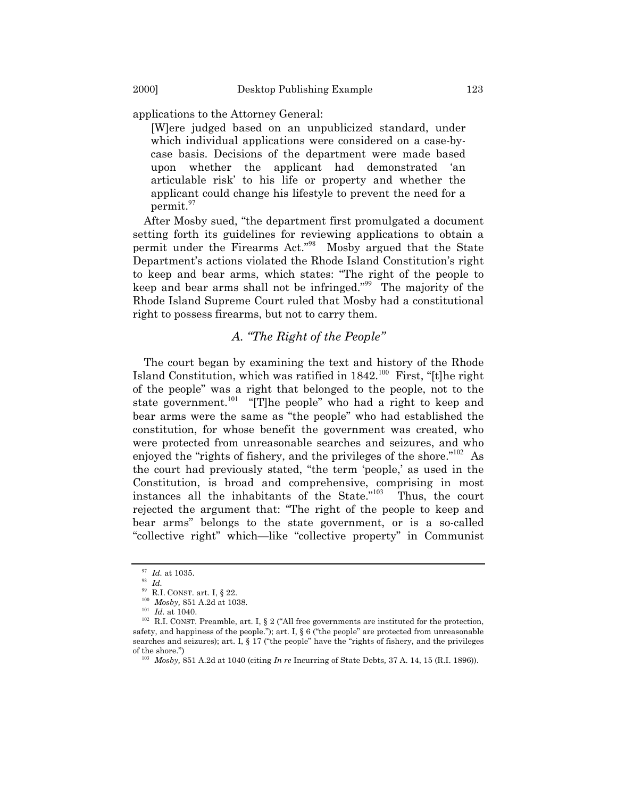applications to the Attorney General:

[W]ere judged based on an unpublicized standard, under which individual applications were considered on a case-bycase basis. Decisions of the department were made based upon whether the applicant had demonstrated ëan articulable risk' to his life or property and whether the applicant could change his lifestyle to prevent the need for a permit.[97](#page-22-0)

After Mosby sued, "the department first promulgated a document setting forth its guidelines for reviewing applications to obtain a permit under the Firearms Act."<sup>[98](#page-22-1)</sup> Mosby argued that the State Department's actions violated the Rhode Island Constitution's right to keep and bear arms, which states: "The right of the people to keep and bear arms shall not be infringed.<sup>"[99](#page-22-2)</sup> The majority of the Rhode Island Supreme Court ruled that Mosby had a constitutional right to possess firearms, but not to carry them.

# A. *The Right of the People*"

The court began by examining the text and history of the Rhode Island Constitution, which was ratified in  $1842$ <sup>[100](#page-22-3)</sup> First, "[t]he right of the peopleî was a right that belonged to the people, not to the state government.<sup>[101](#page-22-4)</sup> "[T]he people" who had a right to keep and bear arms were the same as "the people" who had established the constitution, for whose benefit the government was created, who were protected from unreasonable searches and seizures, and who enjoyed the "rights of fishery, and the privileges of the shore.<sup>"[102](#page-22-5)</sup> As the court had previously stated, "the term 'people,' as used in the Constitution, is broad and comprehensive, comprising in most instances all the inhabitants of the State. $i<sup>103</sup>$  $i<sup>103</sup>$  $i<sup>103</sup>$  Thus, the court rejected the argument that: "The right of the people to keep and bear armsî belongs to the state government, or is a so-called "collective right" which—like "collective property" in Communist

<span id="page-22-0"></span><sup>97</sup> *Id.* at 1035.

<span id="page-22-1"></span><sup>98</sup> *Id.*

<span id="page-22-2"></span> $^{99}$  R.I. CONST. art. I, § 22.

<span id="page-22-3"></span>*Mosby*, 851 A.2d at 1038.

<span id="page-22-4"></span><sup>101</sup> *Id.* at 1040.

<span id="page-22-5"></span> $102$  R.I. CONST. Preamble, art. I, § 2 ("All free governments are instituted for the protection, safety, and happiness of the people."); art. I,  $\S$  6 ("the people" are protected from unreasonable searches and seizures); art. I,  $\S 17$  ("the people" have the "rights of fishery, and the privileges of the shore."

<span id="page-22-6"></span><sup>103</sup> *Mosby,* 851 A.2d at 1040 (citing *In re* [Incurring of State Debts](http://www.westlaw.com/Find/Default.wl?rs=++++1.0&vr=2.0&DB=161&FindType=Y&ReferencePositionType=S&SerialNum=1896014770&ReferencePosition=15)*,* 37 A. 14, 15 (R.I. 1896)).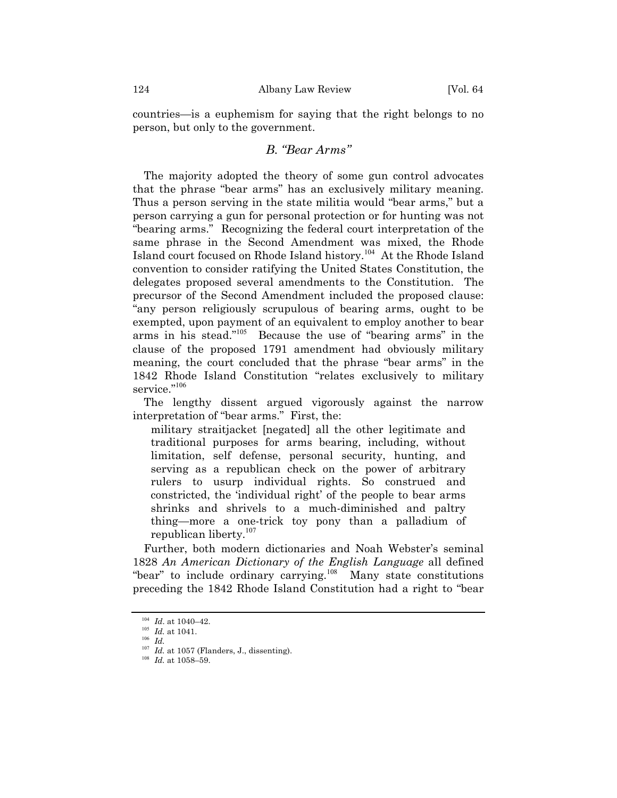countries—is a euphemism for saying that the right belongs to no person, but only to the government.

# *B. ìBear Armsî*

The majority adopted the theory of some gun control advocates that the phrase "bear arms" has an exclusively military meaning. Thus a person serving in the state militia would "bear arms," but a person carrying a gun for personal protection or for hunting was not ìbearing arms.î Recognizing the federal court interpretation of the same phrase in the Second Amendment was mixed, the Rhode Island court focused on Rhode Island history.[104](#page-23-0) At the Rhode Island convention to consider ratifying the United States Constitution, the delegates proposed several amendments to the Constitution. The precursor of the Second Amendment included the proposed clause: ìany person religiously scrupulous of bearing arms, ought to be exempted, upon payment of an equivalent to employ another to bear arms in his stead.<sup>"[105](#page-23-1)</sup> Because the use of "bearing arms" in the clause of the proposed 1791 amendment had obviously military meaning, the court concluded that the phrase "bear arms" in the 1842 Rhode Island Constitution "relates exclusively to military service."<sup>[106](#page-23-2)</sup>

The lengthy dissent argued vigorously against the narrow interpretation of "bear arms." First, the:

military straitjacket [negated] all the other legitimate and traditional purposes for arms bearing, including, without limitation, self defense, personal security, hunting, and serving as a republican check on the power of arbitrary rulers to usurp individual rights. So construed and constricted, the 'individual right' of the people to bear arms shrinks and shrivels to a much-diminished and paltry thing—more a one-trick toy pony than a palladium of republican liberty.[107](#page-23-3)

Further, both modern dictionaries and Noah Webster's seminal 1828 *An American Dictionary of the English Language* all defined "bear" to include ordinary carrying. $\frac{108}{100}$  $\frac{108}{100}$  $\frac{108}{100}$  Many state constitutions preceding the 1842 Rhode Island Constitution had a right to "bear

<span id="page-23-0"></span> $104$  *Id.* at 1040–42.

<span id="page-23-1"></span><sup>105</sup> *Id.* at 1041.

<span id="page-23-2"></span><sup>106</sup> *Id.*

<span id="page-23-3"></span> $107$  *Id.* at 1057 (Flanders, J., dissenting).

<span id="page-23-4"></span> $108$  *Id.* at 1058-59.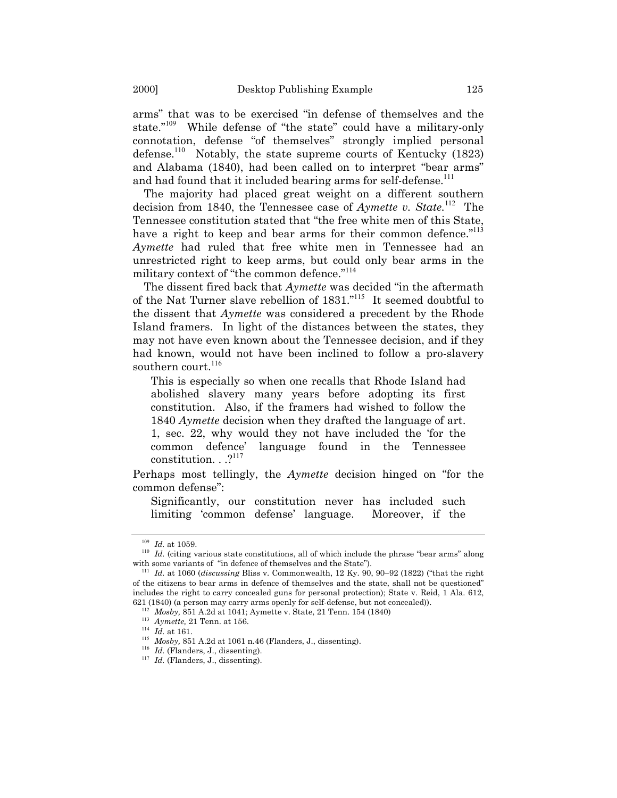arms" that was to be exercised "in defense of themselves and the state."<sup>[109](#page-24-0)</sup> While defense of "the state" could have a military-only connotation, defense "of themselves" strongly implied personal defense.<sup>[110](#page-24-1)</sup> Notably, the state supreme courts of Kentucky  $(1823)$ and Alabama (1840), had been called on to interpret "bear arms" and had found that it included bearing arms for self-defense.<sup>[111](#page-24-2)</sup>

The majority had placed great weight on a different southern decision from 1840, the Tennessee case of *Aymette v. State.*[112](#page-24-3)The Tennessee constitution stated that "the free white men of this State, have a right to keep and bear arms for their common defence.<sup>"[113](#page-24-4)</sup> *Aymette* had ruled that free white men in Tennessee had an unrestricted right to keep arms, but could only bear arms in the military context of "the common defence."<sup>[114](#page-24-5)</sup>

The dissent fired back that *Aymette* was decided "in the aftermath of the Nat Turner slave rebellion of  $1831$ .<sup>"[115](#page-24-6)</sup> It seemed doubtful to the dissent that *Aymette* was considered a precedent by the Rhode Island framers. In light of the distances between the states, they may not have even known about the Tennessee decision, and if they had known, would not have been inclined to follow a pro-slavery southern court.<sup>[116](#page-24-7)</sup>

This is especially so when one recalls that Rhode Island had abolished slavery many years before adopting its first constitution. Also, if the framers had wished to follow the 1840 *Aymette* decision when they drafted the language of art. 1, sec. 22, why would they not have included the ëfor the common defenceí language found in the Tennessee constitution.  $. . .<sup>2117</sup>$  $. . .<sup>2117</sup>$  $. . .<sup>2117</sup>$ 

Perhaps most tellingly, the *Aymette* decision hinged on "for the common defense":

Significantly, our constitution never has included such limiting ëcommon defenseí language. Moreover, if the

<sup>109</sup> *Id.* at 1059.

<span id="page-24-1"></span><span id="page-24-0"></span> $110$  *Id.* (citing various state constitutions, all of which include the phrase "bear arms" along with some variants of "in defence of themselves and the State").

<span id="page-24-2"></span><sup>&</sup>lt;sup>111</sup> *Id.* at 1060 (*discussing* [Bliss v. Commonwealth,](http://www.westlaw.com/Find/Default.wl?rs=++++1.0&vr=2.0&DB=465&FindType=Y&ReferencePositionType=S&SerialNum=1822001829&ReferencePosition=90) 12 Ky. 90, 90-92 (1822) ("that the right of the citizens to bear arms in defence of themselves and the state, shall not be questionedî includes the right to carry concealed guns for personal protection); [State v. Reid, 1 Ala. 612](http://www.westlaw.com/Find/Default.wl?rs=++++1.0&vr=2.0&DB=122&FindType=Y&ReferencePositionType=S&SerialNum=1840000586&ReferencePosition=621), 621 (1840) (a person may carry arms openly for self-defense, but not concealed)).

<span id="page-24-3"></span>*Mosby*, 851 A.2d at 1041; [Aymette v. State,](http://www.westlaw.com/Find/Default.wl?rs=++++1.0&vr=2.0&DB=757&FindType=Y&SerialNum=1840001919) 21 Tenn. 154 (1840)

<span id="page-24-4"></span><sup>113</sup> *[Aymette,](http://www.westlaw.com/Find/Default.wl?rs=++++1.0&vr=2.0&DB=757&FindType=Y&SerialNum=1840001919)* 21 Tenn. at 156.

<span id="page-24-5"></span><sup>114</sup> *Id.* at 161.

<span id="page-24-6"></span><sup>115</sup> *Mosby,* 851 A.2d at 1061 n.46 (Flanders, J., dissenting).

<span id="page-24-7"></span><sup>116</sup> *Id.* (Flanders, J., dissenting).

<span id="page-24-8"></span><sup>&</sup>lt;sup>117</sup> *Id.* (Flanders, J., dissenting).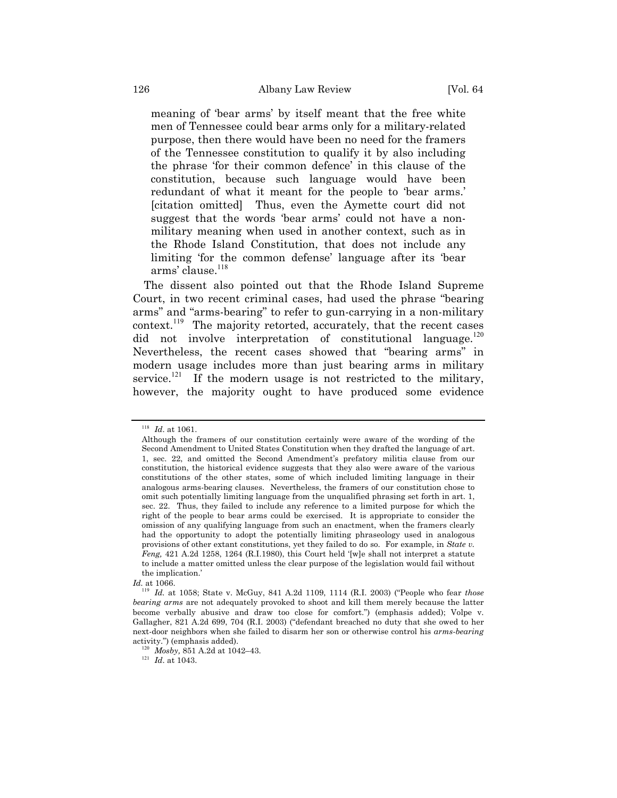meaning of 'bear arms' by itself meant that the free white men of Tennessee could bear arms only for a military-related purpose, then there would have been no need for the framers of the Tennessee constitution to qualify it by also including the phrase 'for their common defence' in this clause of the constitution, because such language would have been redundant of what it meant for the people to 'bear arms.' [citation omitted] Thus, even the Aymette court did not suggest that the words 'bear arms' could not have a nonmilitary meaning when used in another context, such as in the Rhode Island Constitution, that does not include any limiting for the common defense' language after its bear arms' clause.<sup>[118](#page-25-0)</sup>

The dissent also pointed out that the Rhode Island Supreme Court, in two recent criminal cases, had used the phrase "bearing" arms" and "arms-bearing" to refer to gun-carrying in a non-military context.<sup>[119](#page-25-1)</sup> The majority retorted, accurately, that the recent cases did not involve interpretation of constitutional language.<sup>[120](#page-25-2)</sup> Nevertheless, the recent cases showed that "bearing arms" in modern usage includes more than just bearing arms in military service.<sup>[121](#page-25-3)</sup> If the modern usage is not restricted to the military, however, the majority ought to have produced some evidence

<span id="page-25-0"></span><sup>118</sup> *Id*. at 1061.

Although the framers of our constitution certainly were aware of the wording of the Second Amendment to United States Constitution when they drafted the language of art. 1, sec. 22, and omitted the Second Amendmentís prefatory militia clause from our constitution, the historical evidence suggests that they also were aware of the various constitutions of the other states, some of which included limiting language in their analogous arms-bearing clauses. Nevertheless, the framers of our constitution chose to omit such potentially limiting language from the unqualified phrasing set forth in art. 1, sec. 22. Thus, they failed to include any reference to a limited purpose for which the right of the people to bear arms could be exercised. It is appropriate to consider the omission of any qualifying language from such an enactment, when the framers clearly had the opportunity to adopt the potentially limiting phraseology used in analogous provisions of other extant constitutions, yet they failed to do so. For example, in *State v. Feng,*  $421$  A.2d  $1258$ ,  $1264$  (R.I.1980), this Court held '[w]e shall not interpret a statute to include a matter omitted unless the clear purpose of the legislation would fail without the implication.

<span id="page-25-1"></span>*Id.* at 1066.

<sup>&</sup>lt;sup>119</sup> *Id.* at 1058; State v. McGuy, 841 A.2d 1109, 1114 (R.I. 2003) ("People who fear *those bearing arms* are not adequately provoked to shoot and kill them merely because the latter become verbally abusive and draw too close for comfort.î) (emphasis added); Volpe v. Gallagher, [821 A.2d 699, 704](http://www.westlaw.com/Find/Default.wl?rs=++++1.0&vr=2.0&DB=162&FindType=Y&ReferencePositionType=S&SerialNum=2003342250&ReferencePosition=702) (R.I. 2003) ("defendant breached no duty that she owed to her next-door neighbors when she failed to disarm her son or otherwise control his *arms-bearing* activity.") (emphasis added).

<span id="page-25-2"></span> $120$  *Mosby*, 851 A.2d at 1042–43.

<span id="page-25-3"></span><sup>121</sup> *Id*. at 1043.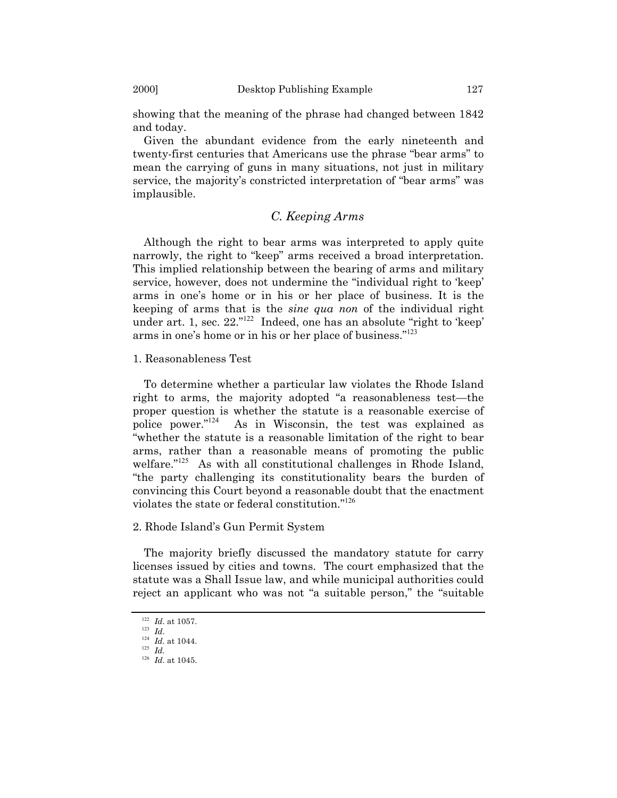showing that the meaning of the phrase had changed between 1842 and today.

Given the abundant evidence from the early nineteenth and twenty-first centuries that Americans use the phrase "bear arms" to mean the carrying of guns in many situations, not just in military service, the majority's constricted interpretation of "bear arms" was implausible.

# *C. Keeping Arms*

Although the right to bear arms was interpreted to apply quite narrowly, the right to "keep" arms received a broad interpretation. This implied relationship between the bearing of arms and military service, however, does not undermine the "individual right to 'keep' arms in oneís home or in his or her place of business. It is the keeping of arms that is the *sine qua non* of the individual right under art. 1, sec. 22."<sup>[122](#page-26-0)</sup> Indeed, one has an absolute "right to 'keep' arms in one's home or in his or her place of business."<sup>[123](#page-26-1)</sup>

## 1. Reasonableness Test

To determine whether a particular law violates the Rhode Island right to arms, the majority adopted "a reasonableness test—the proper question is whether the statute is a reasonable exercise of police power. $i^{124}$  $i^{124}$  $i^{124}$  As in Wisconsin, the test was explained as "whether the statute is a reasonable limitation of the right to bear arms, rather than a reasonable means of promoting the public welfare."<sup>[125](#page-26-3)</sup> As with all constitutional challenges in Rhode Island, ìthe party challenging its constitutionality bears the burden of convincing this Court beyond a reasonable doubt that the enactment violates the state or federal constitution.<sup>"[126](#page-26-4)</sup>

## 2. Rhode Islandís Gun Permit System

The majority briefly discussed the mandatory statute for carry licenses issued by cities and towns. The court emphasized that the statute was a Shall Issue law, and while municipal authorities could reject an applicant who was not "a suitable person," the "suitable

<span id="page-26-0"></span><sup>122</sup> *Id*. at 1057.

<span id="page-26-1"></span> $123$  *Id.* 

<span id="page-26-2"></span><sup>124</sup> *Id*. at 1044. <sup>125</sup> *Id.*

<span id="page-26-4"></span><span id="page-26-3"></span> $126$  *Id.* at 1045.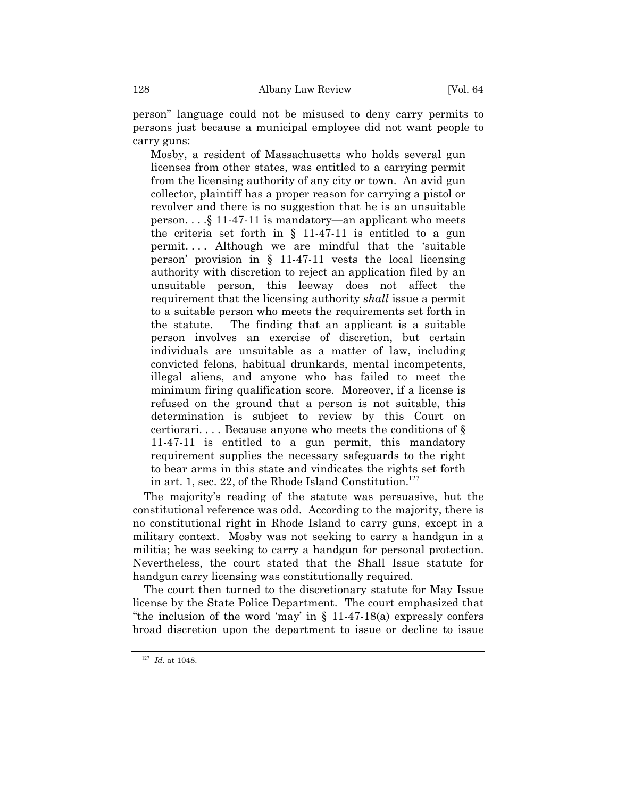personî language could not be misused to deny carry permits to persons just because a municipal employee did not want people to carry guns:

Mosby, a resident of Massachusetts who holds several gun licenses from other states, was entitled to a carrying permit from the licensing authority of any city or town. An avid gun collector, plaintiff has a proper reason for carrying a pistol or revolver and there is no suggestion that he is an unsuitable person.  $\ldots$  \$ 11-47-11 is mandatory—an applicant who meets the criteria set forth in  $\S$  11-47-11 is entitled to a gun permit. . . . Although we are mindful that the ësuitable person' provision in  $\S$  11-47-11 vests the local licensing authority with discretion to reject an application filed by an unsuitable person, this leeway does not affect the requirement that the licensing authority *shall* issue a permit to a suitable person who meets the requirements set forth in the statute. The finding that an applicant is a suitable person involves an exercise of discretion, but certain individuals are unsuitable as a matter of law, including convicted felons, habitual drunkards, mental incompetents, illegal aliens, and anyone who has failed to meet the minimum firing qualification score. Moreover, if a license is refused on the ground that a person is not suitable, this determination is subject to review by this Court on certiorari.... Because anyone who meets the conditions of  $\S$ 11-47-11 is entitled to a gun permit, this mandatory requirement supplies the necessary safeguards to the right to bear arms in this state and vindicates the rights set forth in art. 1, sec. 22, of the Rhode Island Constitution.<sup>[127](#page-27-0)</sup>

The majorityís reading of the statute was persuasive, but the constitutional reference was odd. According to the majority, there is no constitutional right in Rhode Island to carry guns, except in a military context. Mosby was not seeking to carry a handgun in a militia; he was seeking to carry a handgun for personal protection. Nevertheless, the court stated that the Shall Issue statute for handgun carry licensing was constitutionally required.

The court then turned to the discretionary statute for May Issue license by the State Police Department. The court emphasized that "the inclusion of the word 'may' in  $\S$  11-47-18(a) expressly confers broad discretion upon the department to issue or decline to issue

<span id="page-27-0"></span><sup>127</sup> *Id.* at 1048.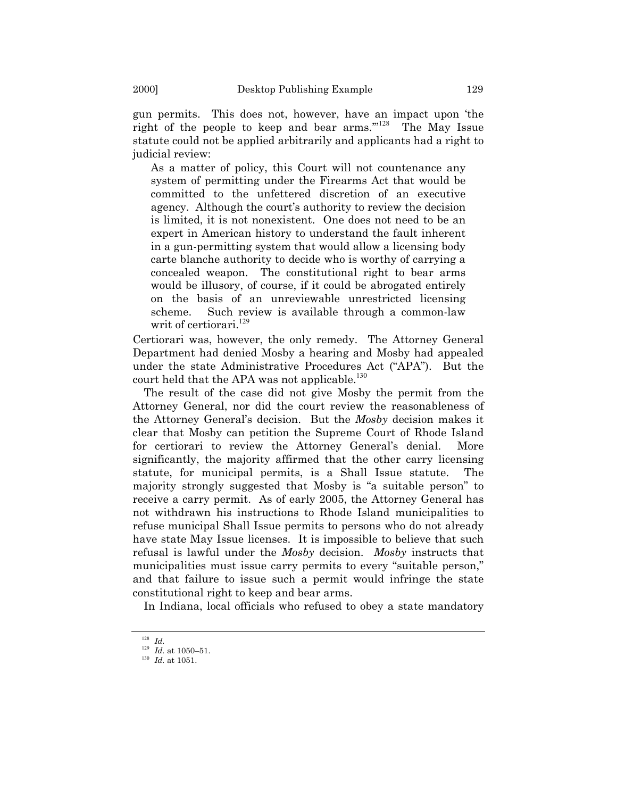gun permits. This does not, however, have an impact upon ëthe right of the people to keep and bear arms." $128$  The May Issue statute could not be applied arbitrarily and applicants had a right to judicial review:

As a matter of policy, this Court will not countenance any system of permitting under the Firearms Act that would be committed to the unfettered discretion of an executive agency. Although the court's authority to review the decision is limited, it is not nonexistent. One does not need to be an expert in American history to understand the fault inherent in a gun-permitting system that would allow a licensing body carte blanche authority to decide who is worthy of carrying a concealed weapon. The constitutional right to bear arms would be illusory, of course, if it could be abrogated entirely on the basis of an unreviewable unrestricted licensing scheme. Such review is available through a common-law writ of certiorari.<sup>[129](#page-28-1)</sup>

Certiorari was, however, the only remedy. The Attorney General Department had denied Mosby a hearing and Mosby had appealed under the state Administrative Procedures Act ("APA"). But the court held that the APA was not applicable.<sup>[130](#page-28-2)</sup>

The result of the case did not give Mosby the permit from the Attorney General, nor did the court review the reasonableness of the Attorney Generalís decision. But the *Mosby* decision makes it clear that Mosby can petition the Supreme Court of Rhode Island for certiorari to review the Attorney Generalís denial. More significantly, the majority affirmed that the other carry licensing statute, for municipal permits, is a Shall Issue statute. The majority strongly suggested that Mosby is "a suitable person" to receive a carry permit. As of early 2005, the Attorney General has not withdrawn his instructions to Rhode Island municipalities to refuse municipal Shall Issue permits to persons who do not already have state May Issue licenses. It is impossible to believe that such refusal is lawful under the *Mosby* decision. *Mosby* instructs that municipalities must issue carry permits to every "suitable person," and that failure to issue such a permit would infringe the state constitutional right to keep and bear arms.

In Indiana, local officials who refused to obey a state mandatory

<span id="page-28-0"></span><sup>128</sup> *Id.*

<span id="page-28-1"></span> $129$  *Id.* at 1050–51.

<span id="page-28-2"></span><sup>130</sup> *Id.* at 1051.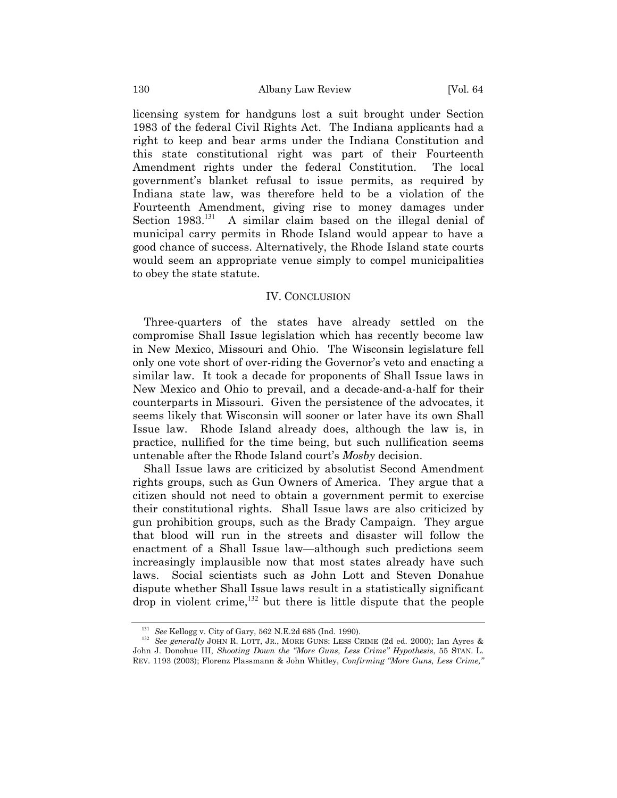licensing system for handguns lost a suit brought under Section 1983 of the federal Civil Rights Act. The Indiana applicants had a right to keep and bear arms under the Indiana Constitution and this state constitutional right was part of their Fourteenth Amendment rights under the federal Constitution. The local governmentís blanket refusal to issue permits, as required by Indiana state law, was therefore held to be a violation of the Fourteenth Amendment, giving rise to money damages under Section 1983.<sup>[131](#page-29-0)</sup> A similar claim based on the illegal denial of municipal carry permits in Rhode Island would appear to have a good chance of success. Alternatively, the Rhode Island state courts would seem an appropriate venue simply to compel municipalities to obey the state statute.

### IV. CONCLUSION

Three-quarters of the states have already settled on the compromise Shall Issue legislation which has recently become law in New Mexico, Missouri and Ohio. The Wisconsin legislature fell only one vote short of over-riding the Governor's veto and enacting a similar law. It took a decade for proponents of Shall Issue laws in New Mexico and Ohio to prevail, and a decade-and-a-half for their counterparts in Missouri. Given the persistence of the advocates, it seems likely that Wisconsin will sooner or later have its own Shall Issue law. Rhode Island already does, although the law is, in practice, nullified for the time being, but such nullification seems untenable after the Rhode Island court's *Mosby* decision.

Shall Issue laws are criticized by absolutist Second Amendment rights groups, such as Gun Owners of America. They argue that a citizen should not need to obtain a government permit to exercise their constitutional rights. Shall Issue laws are also criticized by gun prohibition groups, such as the Brady Campaign. They argue that blood will run in the streets and disaster will follow the enactment of a Shall Issue law—although such predictions seem increasingly implausible now that most states already have such laws. Social scientists such as John Lott and Steven Donahue dispute whether Shall Issue laws result in a statistically significant drop in violent crime,<sup>[132](#page-29-1)</sup> but there is little dispute that the people

<span id="page-29-0"></span><sup>131</sup> *See* Kellogg v. City of Gary, 562 N.E.2d 685 (Ind. 1990).

<span id="page-29-1"></span><sup>132</sup> *See generally* JOHN R. LOTT, JR., MORE GUNS: LESS CRIME (2d ed. 2000); Ian Ayres & John J. Donohue III, *Shooting Down the "More Guns, Less Crime" Hypothesis*, 55 STAN. L. REV. 1193 (2003); Florenz Plassmann & John Whitley, *Confirming "More Guns, Less Crime,"*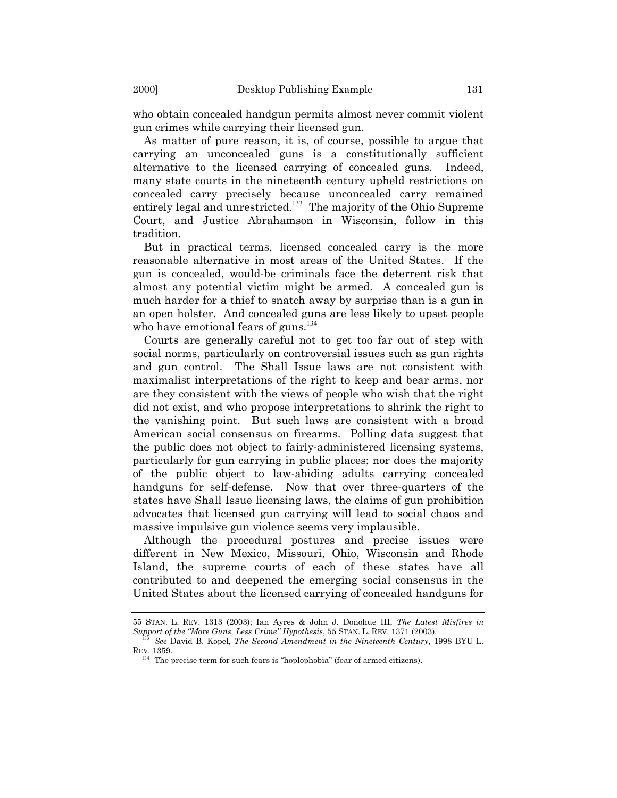who obtain concealed handgun permits almost never commit violent gun crimes while carrying their licensed gun.

As matter of pure reason, it is, of course, possible to argue that carrying an unconcealed guns is a constitutionally sufficient alternative to the licensed carrying of concealed guns. Indeed, many state courts in the nineteenth century upheld restrictions on concealed carry precisely because unconcealed carry remained entirely legal and unrestricted.<sup>[133](#page-30-0)</sup> The majority of the Ohio Supreme Court, and Justice Abrahamson in Wisconsin, follow in this tradition.

But in practical terms, licensed concealed carry is the more reasonable alternative in most areas of the United States. If the gun is concealed, would-be criminals face the deterrent risk that almost any potential victim might be armed. A concealed gun is much harder for a thief to snatch away by surprise than is a gun in an open holster. And concealed guns are less likely to upset people who have emotional fears of guns.<sup>[134](#page-30-1)</sup>

Courts are generally careful not to get too far out of step with social norms, particularly on controversial issues such as gun rights and gun control. The Shall Issue laws are not consistent with maximalist interpretations of the right to keep and bear arms, nor are they consistent with the views of people who wish that the right did not exist, and who propose interpretations to shrink the right to the vanishing point. But such laws are consistent with a broad American social consensus on firearms. Polling data suggest that the public does not object to fairly-administered licensing systems, particularly for gun carrying in public places; nor does the majority of the public object to law-abiding adults carrying concealed handguns for self-defense. Now that over three-quarters of the states have Shall Issue licensing laws, the claims of gun prohibition advocates that licensed gun carrying will lead to social chaos and massive impulsive gun violence seems very implausible.

Although the procedural postures and precise issues were different in New Mexico, Missouri, Ohio, Wisconsin and Rhode Island, the supreme courts of each of these states have all contributed to and deepened the emerging social consensus in the United States about the licensed carrying of concealed handguns for

<sup>55</sup> STAN. L. REV. 1313 (2003); Ian Ayres & John J. Donohue III, *The Latest Misfires in Support of the ìMore Guns, Less Crimeî Hypothesis*, 55 STAN. L. REV. 1371 (2003).

<span id="page-30-0"></span><sup>133</sup> *See* David B. Kopel, *The Second Amendment in the Nineteenth Century*, 1998 BYU L. REV. 1359.

<span id="page-30-1"></span> $134$  The precise term for such fears is "hoplophobia" (fear of armed citizens).